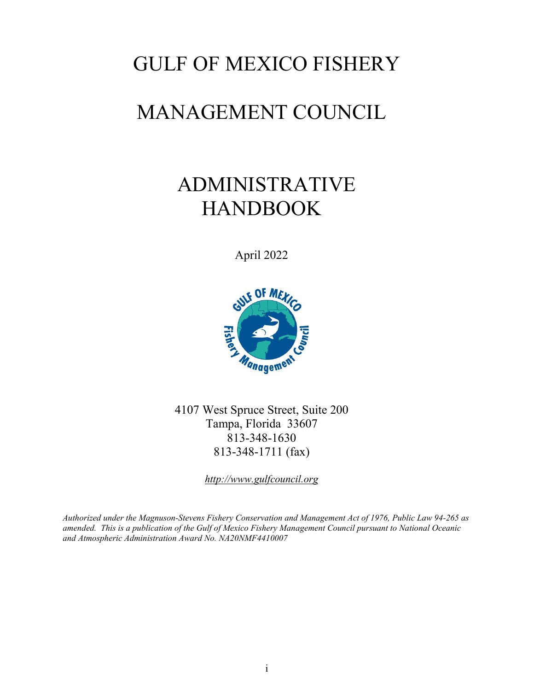# GULF OF MEXICO FISHERY

# MANAGEMENT COUNCIL

# ADMINISTRATIVE HANDBOOK

April 2022



4107 West Spruce Street, Suite 200 Tampa, Florida 33607 813-348-1630 813-348-1711 (fax)

*http://www.gulfcouncil.org*

*Authorized under the Magnuson-Stevens Fishery Conservation and Management Act of 1976, Public Law 94-265 as amended. This is a publication of the Gulf of Mexico Fishery Management Council pursuant to National Oceanic and Atmospheric Administration Award No. NA20NMF4410007*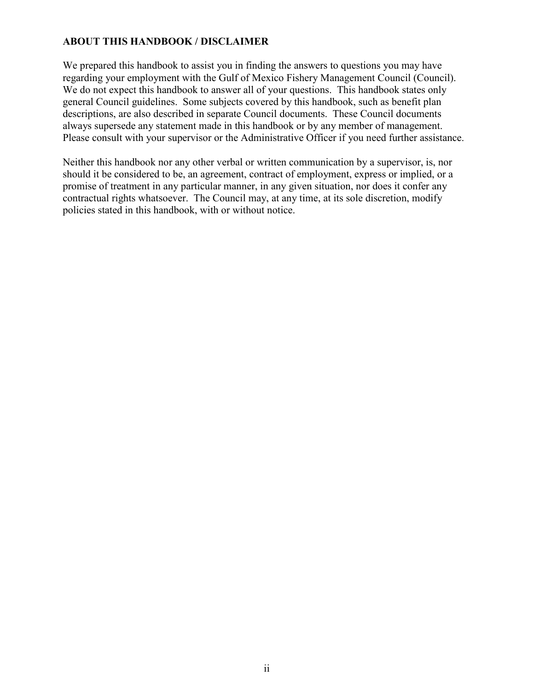#### **ABOUT THIS HANDBOOK / DISCLAIMER**

We prepared this handbook to assist you in finding the answers to questions you may have regarding your employment with the Gulf of Mexico Fishery Management Council (Council). We do not expect this handbook to answer all of your questions. This handbook states only general Council guidelines. Some subjects covered by this handbook, such as benefit plan descriptions, are also described in separate Council documents. These Council documents always supersede any statement made in this handbook or by any member of management. Please consult with your supervisor or the Administrative Officer if you need further assistance.

Neither this handbook nor any other verbal or written communication by a supervisor, is, nor should it be considered to be, an agreement, contract of employment, express or implied, or a promise of treatment in any particular manner, in any given situation, nor does it confer any contractual rights whatsoever. The Council may, at any time, at its sole discretion, modify policies stated in this handbook, with or without notice.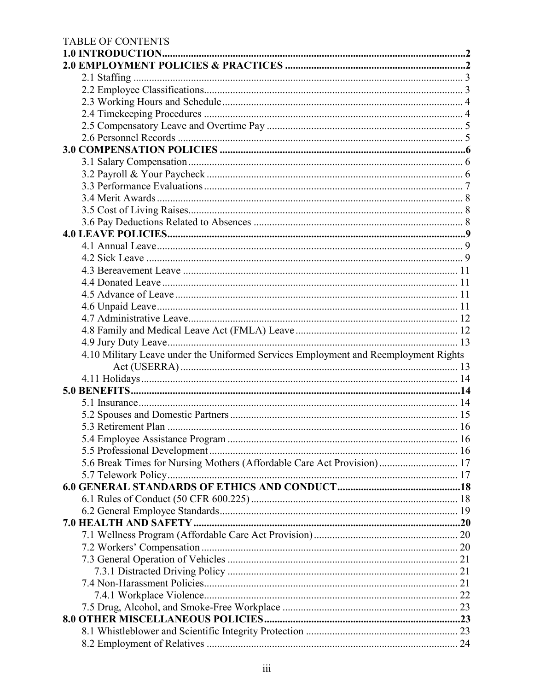# TABLE OF CONTENTS

| 4.10 Military Leave under the Uniformed Services Employment and Reemployment Rights |  |  |
|-------------------------------------------------------------------------------------|--|--|
|                                                                                     |  |  |
|                                                                                     |  |  |
|                                                                                     |  |  |
|                                                                                     |  |  |
|                                                                                     |  |  |
|                                                                                     |  |  |
|                                                                                     |  |  |
|                                                                                     |  |  |
| 5.6 Break Times for Nursing Mothers (Affordable Care Act Provision) 17              |  |  |
|                                                                                     |  |  |
|                                                                                     |  |  |
|                                                                                     |  |  |
|                                                                                     |  |  |
|                                                                                     |  |  |
|                                                                                     |  |  |
|                                                                                     |  |  |
|                                                                                     |  |  |
|                                                                                     |  |  |
|                                                                                     |  |  |
|                                                                                     |  |  |
|                                                                                     |  |  |
|                                                                                     |  |  |
|                                                                                     |  |  |
|                                                                                     |  |  |
|                                                                                     |  |  |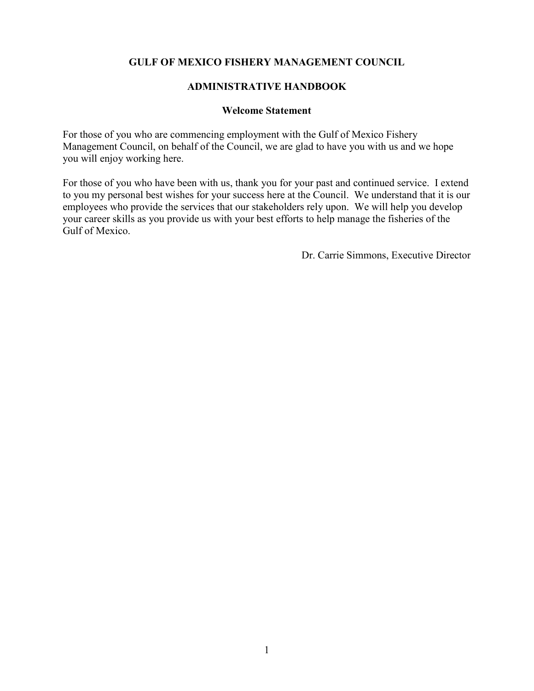#### **GULF OF MEXICO FISHERY MANAGEMENT COUNCIL**

#### **ADMINISTRATIVE HANDBOOK**

#### **Welcome Statement**

For those of you who are commencing employment with the Gulf of Mexico Fishery Management Council, on behalf of the Council, we are glad to have you with us and we hope you will enjoy working here.

For those of you who have been with us, thank you for your past and continued service. I extend to you my personal best wishes for your success here at the Council. We understand that it is our employees who provide the services that our stakeholders rely upon. We will help you develop your career skills as you provide us with your best efforts to help manage the fisheries of the Gulf of Mexico.

Dr. Carrie Simmons, Executive Director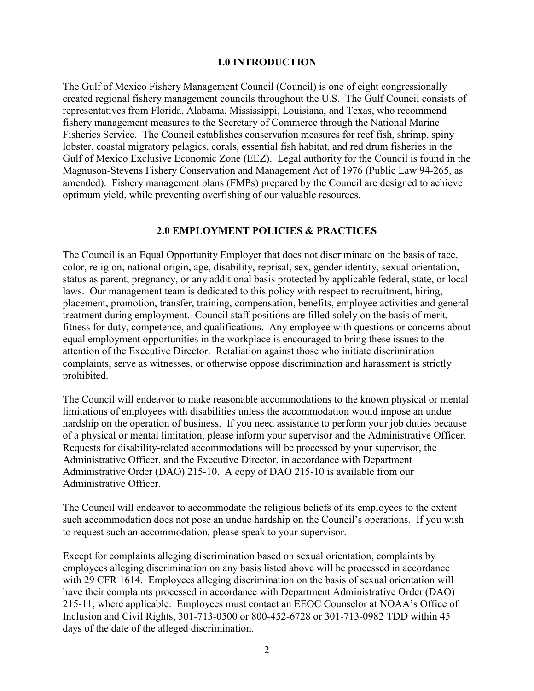#### **1.0 INTRODUCTION**

<span id="page-5-0"></span>The Gulf of Mexico Fishery Management Council (Council) is one of eight congressionally created regional fishery management councils throughout the U.S. The Gulf Council consists of representatives from Florida, Alabama, Mississippi, Louisiana, and Texas, who recommend fishery management measures to the Secretary of Commerce through the National Marine Fisheries Service. The Council establishes conservation measures for reef fish, shrimp, spiny lobster, coastal migratory pelagics, corals, essential fish habitat, and red drum fisheries in the Gulf of Mexico Exclusive Economic Zone (EEZ). Legal authority for the Council is found in the Magnuson-Stevens Fishery Conservation and Management Act of 1976 (Public Law 94-265, as amended). Fishery management plans (FMPs) prepared by the Council are designed to achieve optimum yield, while preventing overfishing of our valuable resources.

#### **2.0 EMPLOYMENT POLICIES & PRACTICES**

<span id="page-5-1"></span>The Council is an Equal Opportunity Employer that does not discriminate on the basis of race, color, religion, national origin, age, disability, reprisal, sex, gender identity, sexual orientation, status as parent, pregnancy, or any additional basis protected by applicable federal, state, or local laws. Our management team is dedicated to this policy with respect to recruitment, hiring, placement, promotion, transfer, training, compensation, benefits, employee activities and general treatment during employment. Council staff positions are filled solely on the basis of merit, fitness for duty, competence, and qualifications. Any employee with questions or concerns about equal employment opportunities in the workplace is encouraged to bring these issues to the attention of the Executive Director. Retaliation against those who initiate discrimination complaints, serve as witnesses, or otherwise oppose discrimination and harassment is strictly prohibited.

The Council will endeavor to make reasonable accommodations to the known physical or mental limitations of employees with disabilities unless the accommodation would impose an undue hardship on the operation of business. If you need assistance to perform your job duties because of a physical or mental limitation, please inform your supervisor and the Administrative Officer. Requests for disability-related accommodations will be processed by your supervisor, the Administrative Officer, and the Executive Director, in accordance with Department Administrative Order (DAO) 215-10. A copy of DAO 215-10 is available from our Administrative Officer.

The Council will endeavor to accommodate the religious beliefs of its employees to the extent such accommodation does not pose an undue hardship on the Council's operations. If you wish to request such an accommodation, please speak to your supervisor.

Except for complaints alleging discrimination based on sexual orientation, complaints by employees alleging discrimination on any basis listed above will be processed in accordance with 29 CFR 1614. Employees alleging discrimination on the basis of sexual orientation will have their complaints processed in accordance with Department Administrative Order (DAO) 215-11, where applicable. Employees must contact an EEOC Counselor at NOAA's Office of Inclusion and Civil Rights, 301-713-0500 or 800-452-6728 or 301-713-0982 TDD within 45 days of the date of the alleged discrimination.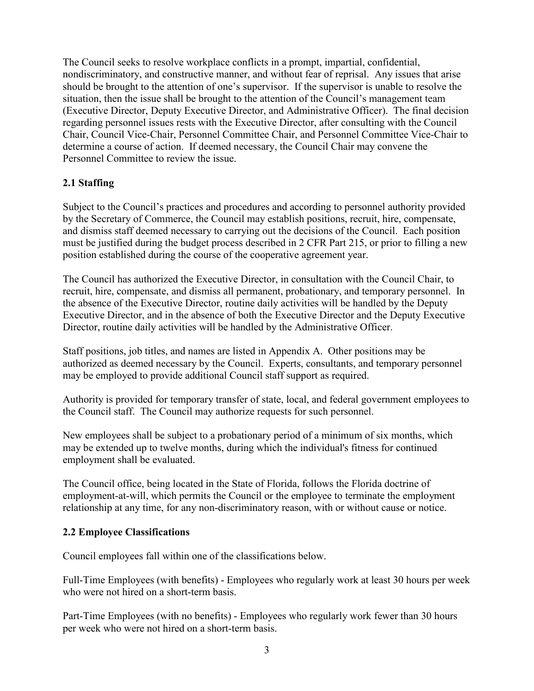The Council seeks to resolve workplace conflicts in a prompt, impartial, confidential, nondiscriminatory, and constructive manner, and without fear of reprisal. Any issues that arise should be brought to the attention of one's supervisor. If the supervisor is unable to resolve the situation, then the issue shall be brought to the attention of the Council's management team (Executive Director, Deputy Executive Director, and Administrative Officer). The final decision regarding personnel issues rests with the Executive Director, after consulting with the Council Chair, Council Vice-Chair, Personnel Committee Chair, and Personnel Committee Vice-Chair to determine a course of action. If deemed necessary, the Council Chair may convene the Personnel Committee to review the issue.

# <span id="page-6-0"></span>**2.1 Staffing**

Subject to the Council's practices and procedures and according to personnel authority provided by the Secretary of Commerce, the Council may establish positions, recruit, hire, compensate, and dismiss staff deemed necessary to carrying out the decisions of the Council. Each position must be justified during the budget process described in 2 CFR Part 215, or prior to filling a new position established during the course of the cooperative agreement year.

The Council has authorized the Executive Director, in consultation with the Council Chair, to recruit, hire, compensate, and dismiss all permanent, probationary, and temporary personnel. In the absence of the Executive Director, routine daily activities will be handled by the Deputy Executive Director, and in the absence of both the Executive Director and the Deputy Executive Director, routine daily activities will be handled by the Administrative Officer.

Staff positions, job titles, and names are listed in Appendix A. Other positions may be authorized as deemed necessary by the Council. Experts, consultants, and temporary personnel may be employed to provide additional Council staff support as required.

Authority is provided for temporary transfer of state, local, and federal government employees to the Council staff. The Council may authorize requests for such personnel.

New employees shall be subject to a probationary period of a minimum of six months, which may be extended up to twelve months, during which the individual's fitness for continued employment shall be evaluated.

The Council office, being located in the State of Florida, follows the Florida doctrine of employment-at-will, which permits the Council or the employee to terminate the employment relationship at any time, for any non-discriminatory reason, with or without cause or notice.

#### <span id="page-6-1"></span>**2.2 Employee Classifications**

Council employees fall within one of the classifications below.

Full-Time Employees (with benefits) - Employees who regularly work at least 30 hours per week who were not hired on a short-term basis.

Part-Time Employees (with no benefits) - Employees who regularly work fewer than 30 hours per week who were not hired on a short-term basis.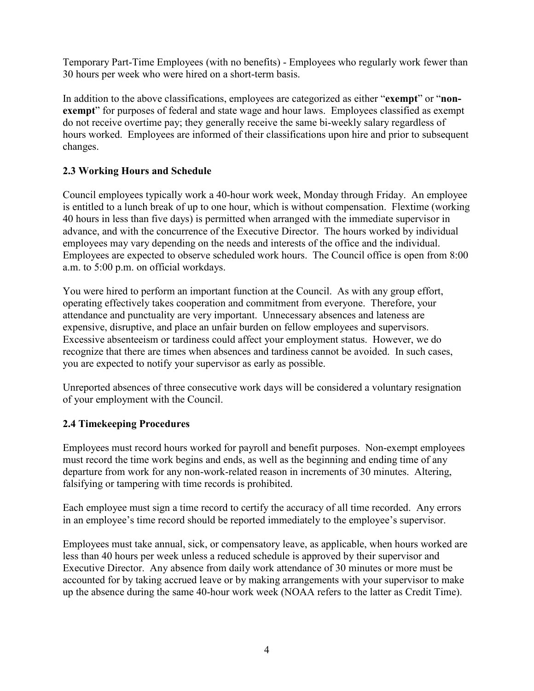Temporary Part-Time Employees (with no benefits) - Employees who regularly work fewer than 30 hours per week who were hired on a short-term basis.

In addition to the above classifications, employees are categorized as either "**exempt**" or "**non**exempt" for purposes of federal and state wage and hour laws. Employees classified as exempt do not receive overtime pay; they generally receive the same bi-weekly salary regardless of hours worked. Employees are informed of their classifications upon hire and prior to subsequent changes.

## <span id="page-7-0"></span>**2.3 Working Hours and Schedule**

Council employees typically work a 40-hour work week, Monday through Friday. An employee is entitled to a lunch break of up to one hour, which is without compensation. Flextime (working 40 hours in less than five days) is permitted when arranged with the immediate supervisor in advance, and with the concurrence of the Executive Director. The hours worked by individual employees may vary depending on the needs and interests of the office and the individual. Employees are expected to observe scheduled work hours. The Council office is open from 8:00 a.m. to 5:00 p.m. on official workdays.

You were hired to perform an important function at the Council. As with any group effort, operating effectively takes cooperation and commitment from everyone. Therefore, your attendance and punctuality are very important. Unnecessary absences and lateness are expensive, disruptive, and place an unfair burden on fellow employees and supervisors. Excessive absenteeism or tardiness could affect your employment status. However, we do recognize that there are times when absences and tardiness cannot be avoided. In such cases, you are expected to notify your supervisor as early as possible.

Unreported absences of three consecutive work days will be considered a voluntary resignation of your employment with the Council.

## <span id="page-7-1"></span>**2.4 Timekeeping Procedures**

Employees must record hours worked for payroll and benefit purposes. Non-exempt employees must record the time work begins and ends, as well as the beginning and ending time of any departure from work for any non-work-related reason in increments of 30 minutes. Altering, falsifying or tampering with time records is prohibited.

Each employee must sign a time record to certify the accuracy of all time recorded. Any errors in an employee's time record should be reported immediately to the employee's supervisor.

Employees must take annual, sick, or compensatory leave, as applicable, when hours worked are less than 40 hours per week unless a reduced schedule is approved by their supervisor and Executive Director. Any absence from daily work attendance of 30 minutes or more must be accounted for by taking accrued leave or by making arrangements with your supervisor to make up the absence during the same 40-hour work week (NOAA refers to the latter as Credit Time).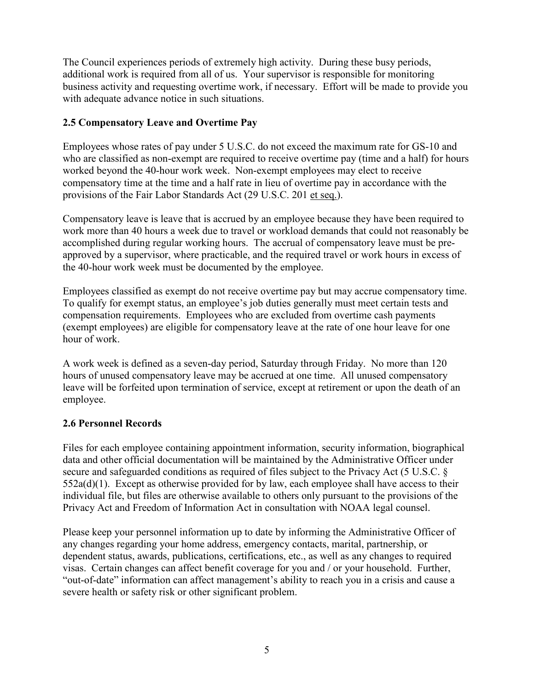The Council experiences periods of extremely high activity. During these busy periods, additional work is required from all of us. Your supervisor is responsible for monitoring business activity and requesting overtime work, if necessary. Effort will be made to provide you with adequate advance notice in such situations.

## <span id="page-8-0"></span>**2.5 Compensatory Leave and Overtime Pay**

Employees whose rates of pay under 5 U.S.C. do not exceed the maximum rate for GS-10 and who are classified as non-exempt are required to receive overtime pay (time and a half) for hours worked beyond the 40-hour work week. Non-exempt employees may elect to receive compensatory time at the time and a half rate in lieu of overtime pay in accordance with the provisions of the Fair Labor Standards Act (29 U.S.C. 201 et seq.).

Compensatory leave is leave that is accrued by an employee because they have been required to work more than 40 hours a week due to travel or workload demands that could not reasonably be accomplished during regular working hours. The accrual of compensatory leave must be preapproved by a supervisor, where practicable, and the required travel or work hours in excess of the 40-hour work week must be documented by the employee.

Employees classified as exempt do not receive overtime pay but may accrue compensatory time. To qualify for exempt status, an employee's job duties generally must meet certain tests and compensation requirements. Employees who are excluded from overtime cash payments (exempt employees) are eligible for compensatory leave at the rate of one hour leave for one hour of work.

A work week is defined as a seven-day period, Saturday through Friday. No more than 120 hours of unused compensatory leave may be accrued at one time. All unused compensatory leave will be forfeited upon termination of service, except at retirement or upon the death of an employee.

## <span id="page-8-1"></span>**2.6 Personnel Records**

Files for each employee containing appointment information, security information, biographical data and other official documentation will be maintained by the Administrative Officer under secure and safeguarded conditions as required of files subject to the Privacy Act (5 U.S.C. §  $552a(d)(1)$ . Except as otherwise provided for by law, each employee shall have access to their individual file, but files are otherwise available to others only pursuant to the provisions of the Privacy Act and Freedom of Information Act in consultation with NOAA legal counsel.

Please keep your personnel information up to date by informing the Administrative Officer of any changes regarding your home address, emergency contacts, marital, partnership, or dependent status, awards, publications, certifications, etc., as well as any changes to required visas. Certain changes can affect benefit coverage for you and / or your household. Further, "out-of-date" information can affect management's ability to reach you in a crisis and cause a severe health or safety risk or other significant problem.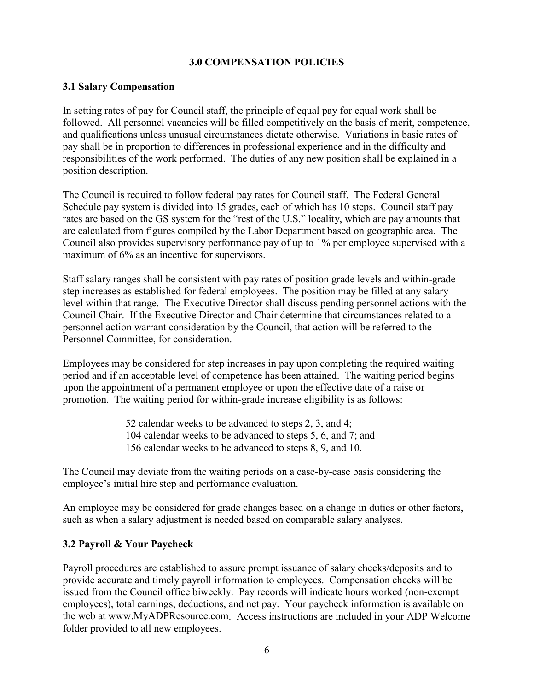#### **3.0 COMPENSATION POLICIES**

#### <span id="page-9-1"></span><span id="page-9-0"></span>**3.1 Salary Compensation**

In setting rates of pay for Council staff, the principle of equal pay for equal work shall be followed. All personnel vacancies will be filled competitively on the basis of merit, competence, and qualifications unless unusual circumstances dictate otherwise. Variations in basic rates of pay shall be in proportion to differences in professional experience and in the difficulty and responsibilities of the work performed. The duties of any new position shall be explained in a position description.

The Council is required to follow federal pay rates for Council staff. The Federal General Schedule pay system is divided into 15 grades, each of which has 10 steps. Council staff pay rates are based on the GS system for the "rest of the U.S." locality, which are pay amounts that are calculated from figures compiled by the Labor Department based on geographic area. The Council also provides supervisory performance pay of up to 1% per employee supervised with a maximum of 6% as an incentive for supervisors.

Staff salary ranges shall be consistent with pay rates of position grade levels and within-grade step increases as established for federal employees. The position may be filled at any salary level within that range. The Executive Director shall discuss pending personnel actions with the Council Chair. If the Executive Director and Chair determine that circumstances related to a personnel action warrant consideration by the Council, that action will be referred to the Personnel Committee, for consideration.

Employees may be considered for step increases in pay upon completing the required waiting period and if an acceptable level of competence has been attained. The waiting period begins upon the appointment of a permanent employee or upon the effective date of a raise or promotion. The waiting period for within-grade increase eligibility is as follows:

> 52 calendar weeks to be advanced to steps 2, 3, and 4; 104 calendar weeks to be advanced to steps 5, 6, and 7; and 156 calendar weeks to be advanced to steps 8, 9, and 10.

The Council may deviate from the waiting periods on a case-by-case basis considering the employee's initial hire step and performance evaluation.

An employee may be considered for grade changes based on a change in duties or other factors, such as when a salary adjustment is needed based on comparable salary analyses.

## <span id="page-9-2"></span>**3.2 Payroll & Your Paycheck**

Payroll procedures are established to assure prompt issuance of salary checks/deposits and to provide accurate and timely payroll information to employees. Compensation checks will be issued from the Council office biweekly. Pay records will indicate hours worked (non-exempt employees), total earnings, deductions, and net pay. Your paycheck information is available on the web at [www.MyADPResource.com.](http://www.myadpresource.com/) Access instructions are included in your ADP Welcome folder provided to all new employees.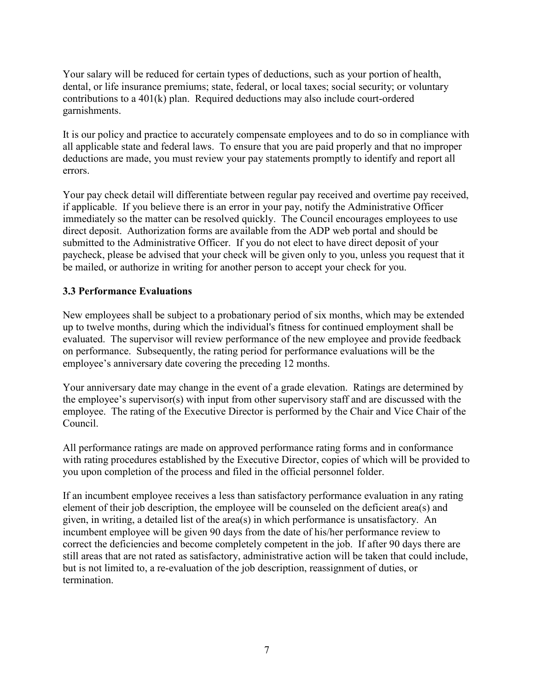Your salary will be reduced for certain types of deductions, such as your portion of health, dental, or life insurance premiums; state, federal, or local taxes; social security; or voluntary contributions to a 401(k) plan. Required deductions may also include court-ordered garnishments.

It is our policy and practice to accurately compensate employees and to do so in compliance with all applicable state and federal laws. To ensure that you are paid properly and that no improper deductions are made, you must review your pay statements promptly to identify and report all errors.

Your pay check detail will differentiate between regular pay received and overtime pay received, if applicable. If you believe there is an error in your pay, notify the Administrative Officer immediately so the matter can be resolved quickly. The Council encourages employees to use direct deposit. Authorization forms are available from the ADP web portal and should be submitted to the Administrative Officer. If you do not elect to have direct deposit of your paycheck, please be advised that your check will be given only to you, unless you request that it be mailed, or authorize in writing for another person to accept your check for you.

## <span id="page-10-0"></span>**3.3 Performance Evaluations**

New employees shall be subject to a probationary period of six months, which may be extended up to twelve months, during which the individual's fitness for continued employment shall be evaluated. The supervisor will review performance of the new employee and provide feedback on performance. Subsequently, the rating period for performance evaluations will be the employee's anniversary date covering the preceding 12 months.

Your anniversary date may change in the event of a grade elevation. Ratings are determined by the employee's supervisor(s) with input from other supervisory staff and are discussed with the employee. The rating of the Executive Director is performed by the Chair and Vice Chair of the Council.

All performance ratings are made on approved performance rating forms and in conformance with rating procedures established by the Executive Director, copies of which will be provided to you upon completion of the process and filed in the official personnel folder.

If an incumbent employee receives a less than satisfactory performance evaluation in any rating element of their job description, the employee will be counseled on the deficient area(s) and given, in writing, a detailed list of the area(s) in which performance is unsatisfactory. An incumbent employee will be given 90 days from the date of his/her performance review to correct the deficiencies and become completely competent in the job. If after 90 days there are still areas that are not rated as satisfactory, administrative action will be taken that could include, but is not limited to, a re-evaluation of the job description, reassignment of duties, or termination.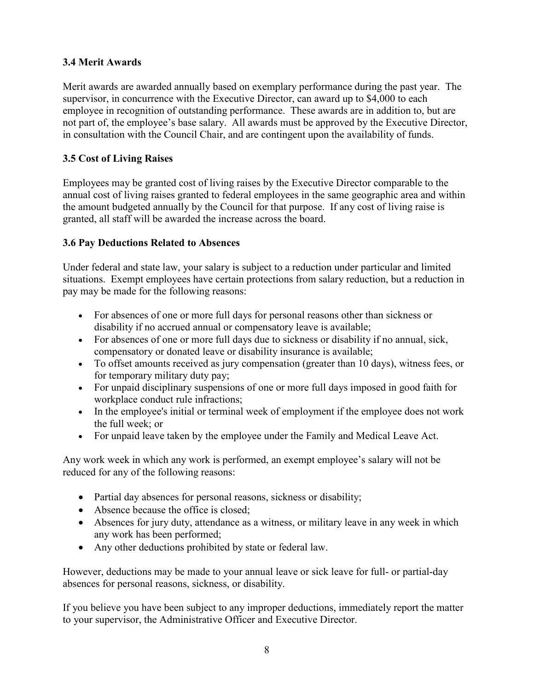## <span id="page-11-0"></span>**3.4 Merit Awards**

Merit awards are awarded annually based on exemplary performance during the past year. The supervisor, in concurrence with the Executive Director, can award up to \$4,000 to each employee in recognition of outstanding performance. These awards are in addition to, but are not part of, the employee's base salary. All awards must be approved by the Executive Director, in consultation with the Council Chair, and are contingent upon the availability of funds.

## <span id="page-11-1"></span>**3.5 Cost of Living Raises**

Employees may be granted cost of living raises by the Executive Director comparable to the annual cost of living raises granted to federal employees in the same geographic area and within the amount budgeted annually by the Council for that purpose. If any cost of living raise is granted, all staff will be awarded the increase across the board.

## <span id="page-11-2"></span>**3.6 Pay Deductions Related to Absences**

Under federal and state law, your salary is subject to a reduction under particular and limited situations. Exempt employees have certain protections from salary reduction, but a reduction in pay may be made for the following reasons:

- For absences of one or more full days for personal reasons other than sickness or disability if no accrued annual or compensatory leave is available;
- For absences of one or more full days due to sickness or disability if no annual, sick, compensatory or donated leave or disability insurance is available;
- To offset amounts received as jury compensation (greater than 10 days), witness fees, or for temporary military duty pay;
- For unpaid disciplinary suspensions of one or more full days imposed in good faith for workplace conduct rule infractions;
- In the employee's initial or terminal week of employment if the employee does not work the full week; or
- For unpaid leave taken by the employee under the Family and Medical Leave Act.

Any work week in which any work is performed, an exempt employee's salary will not be reduced for any of the following reasons:

- Partial day absences for personal reasons, sickness or disability;
- Absence because the office is closed;
- Absences for jury duty, attendance as a witness, or military leave in any week in which any work has been performed;
- Any other deductions prohibited by state or federal law.

However, deductions may be made to your annual leave or sick leave for full- or partial-day absences for personal reasons, sickness, or disability.

If you believe you have been subject to any improper deductions, immediately report the matter to your supervisor, the Administrative Officer and Executive Director.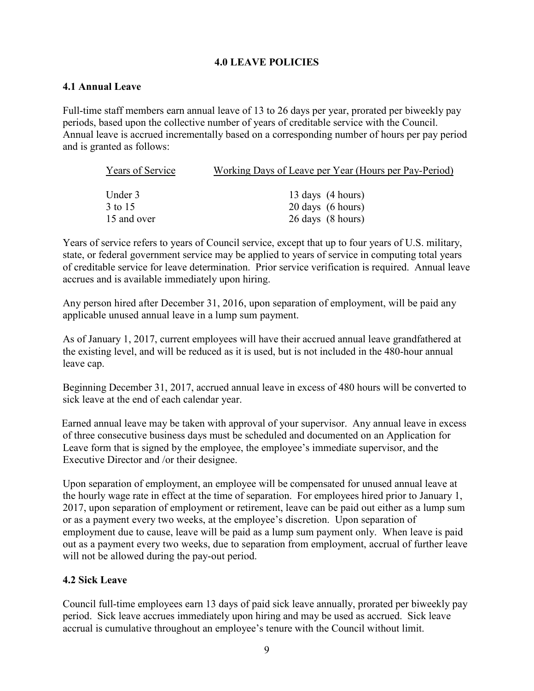## **4.0 LEAVE POLICIES**

## <span id="page-12-1"></span><span id="page-12-0"></span>**4.1 Annual Leave**

Full-time staff members earn annual leave of 13 to 26 days per year, prorated per biweekly pay periods, based upon the collective number of years of creditable service with the Council. Annual leave is accrued incrementally based on a corresponding number of hours per pay period and is granted as follows:

| Years of Service | Working Days of Leave per Year (Hours per Pay-Period) |
|------------------|-------------------------------------------------------|
|                  |                                                       |
| Under 3          | 13 days (4 hours)                                     |
| 3 to 15          | 20 days (6 hours)                                     |
| 15 and over      | 26 days (8 hours)                                     |

Years of service refers to years of Council service, except that up to four years of U.S. military, state, or federal government service may be applied to years of service in computing total years of creditable service for leave determination. Prior service verification is required. Annual leave accrues and is available immediately upon hiring.

Any person hired after December 31, 2016, upon separation of employment, will be paid any applicable unused annual leave in a lump sum payment.

As of January 1, 2017, current employees will have their accrued annual leave grandfathered at the existing level, and will be reduced as it is used, but is not included in the 480-hour annual leave cap.

Beginning December 31, 2017, accrued annual leave in excess of 480 hours will be converted to sick leave at the end of each calendar year.

Earned annual leave may be taken with approval of your supervisor. Any annual leave in excess of three consecutive business days must be scheduled and documented on an Application for Leave form that is signed by the employee, the employee's immediate supervisor, and the Executive Director and /or their designee.

Upon separation of employment, an employee will be compensated for unused annual leave at the hourly wage rate in effect at the time of separation. For employees hired prior to January 1, 2017, upon separation of employment or retirement, leave can be paid out either as a lump sum or as a payment every two weeks, at the employee's discretion. Upon separation of employment due to cause, leave will be paid as a lump sum payment only. When leave is paid out as a payment every two weeks, due to separation from employment, accrual of further leave will not be allowed during the pay-out period.

# <span id="page-12-2"></span>**4.2 Sick Leave**

Council full-time employees earn 13 days of paid sick leave annually, prorated per biweekly pay period. Sick leave accrues immediately upon hiring and may be used as accrued. Sick leave accrual is cumulative throughout an employee's tenure with the Council without limit.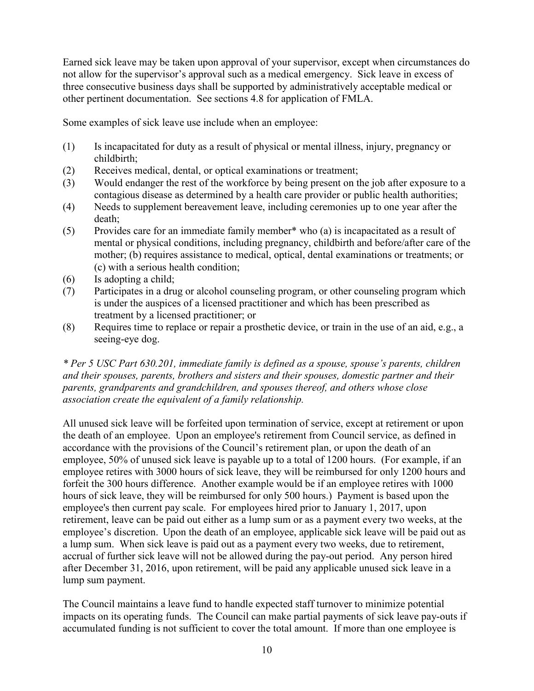Earned sick leave may be taken upon approval of your supervisor, except when circumstances do not allow for the supervisor's approval such as a medical emergency. Sick leave in excess of three consecutive business days shall be supported by administratively acceptable medical or other pertinent documentation. See sections 4.8 for application of FMLA.

Some examples of sick leave use include when an employee:

- (1) Is incapacitated for duty as a result of physical or mental illness, injury, pregnancy or childbirth;
- (2) Receives medical, dental, or optical examinations or treatment;
- (3) Would endanger the rest of the workforce by being present on the job after exposure to a contagious disease as determined by a health care provider or public health authorities;
- (4) Needs to supplement bereavement leave, including ceremonies up to one year after the death;
- (5) Provides care for an immediate family member\* who (a) is incapacitated as a result of mental or physical conditions, including pregnancy, childbirth and before/after care of the mother; (b) requires assistance to medical, optical, dental examinations or treatments; or (c) with a serious health condition;
- (6) Is adopting a child;
- (7) Participates in a drug or alcohol counseling program, or other counseling program which is under the auspices of a licensed practitioner and which has been prescribed as treatment by a licensed practitioner; or
- (8) Requires time to replace or repair a prosthetic device, or train in the use of an aid, e.g., a seeing-eye dog.

*\* Per 5 USC Part 630.201, immediate family is defined as a spouse, spouse's parents, children and their spouses, parents, brothers and sisters and their spouses, domestic partner and their parents, grandparents and grandchildren, and spouses thereof, and others whose close association create the equivalent of a family relationship.*

All unused sick leave will be forfeited upon termination of service, except at retirement or upon the death of an employee. Upon an employee's retirement from Council service, as defined in accordance with the provisions of the Council's retirement plan, or upon the death of an employee, 50% of unused sick leave is payable up to a total of 1200 hours. (For example, if an employee retires with 3000 hours of sick leave, they will be reimbursed for only 1200 hours and forfeit the 300 hours difference. Another example would be if an employee retires with 1000 hours of sick leave, they will be reimbursed for only 500 hours.) Payment is based upon the employee's then current pay scale. For employees hired prior to January 1, 2017, upon retirement, leave can be paid out either as a lump sum or as a payment every two weeks, at the employee's discretion. Upon the death of an employee, applicable sick leave will be paid out as a lump sum. When sick leave is paid out as a payment every two weeks, due to retirement, accrual of further sick leave will not be allowed during the pay-out period. Any person hired after December 31, 2016, upon retirement, will be paid any applicable unused sick leave in a lump sum payment.

The Council maintains a leave fund to handle expected staff turnover to minimize potential impacts on its operating funds. The Council can make partial payments of sick leave pay-outs if accumulated funding is not sufficient to cover the total amount. If more than one employee is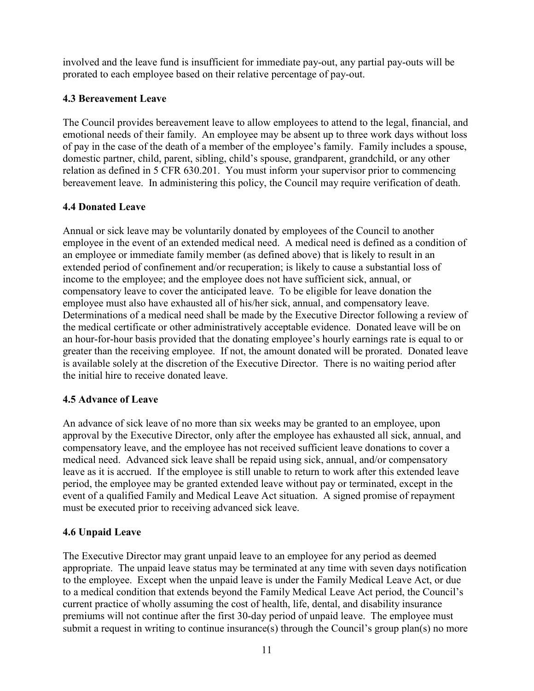involved and the leave fund is insufficient for immediate pay-out, any partial pay-outs will be prorated to each employee based on their relative percentage of pay-out.

# <span id="page-14-0"></span>**4.3 Bereavement Leave**

The Council provides bereavement leave to allow employees to attend to the legal, financial, and emotional needs of their family. An employee may be absent up to three work days without loss of pay in the case of the death of a member of the employee's family. Family includes a spouse, domestic partner, child, parent, sibling, child's spouse, grandparent, grandchild, or any other relation as defined in 5 CFR 630.201. You must inform your supervisor prior to commencing bereavement leave. In administering this policy, the Council may require verification of death.

# <span id="page-14-1"></span>**4.4 Donated Leave**

Annual or sick leave may be voluntarily donated by employees of the Council to another employee in the event of an extended medical need. A medical need is defined as a condition of an employee or immediate family member (as defined above) that is likely to result in an extended period of confinement and/or recuperation; is likely to cause a substantial loss of income to the employee; and the employee does not have sufficient sick, annual, or compensatory leave to cover the anticipated leave. To be eligible for leave donation the employee must also have exhausted all of his/her sick, annual, and compensatory leave. Determinations of a medical need shall be made by the Executive Director following a review of the medical certificate or other administratively acceptable evidence. Donated leave will be on an hour-for-hour basis provided that the donating employee's hourly earnings rate is equal to or greater than the receiving employee. If not, the amount donated will be prorated. Donated leave is available solely at the discretion of the Executive Director. There is no waiting period after the initial hire to receive donated leave.

# <span id="page-14-2"></span>**4.5 Advance of Leave**

An advance of sick leave of no more than six weeks may be granted to an employee, upon approval by the Executive Director, only after the employee has exhausted all sick, annual, and compensatory leave, and the employee has not received sufficient leave donations to cover a medical need. Advanced sick leave shall be repaid using sick, annual, and/or compensatory leave as it is accrued. If the employee is still unable to return to work after this extended leave period, the employee may be granted extended leave without pay or terminated, except in the event of a qualified Family and Medical Leave Act situation. A signed promise of repayment must be executed prior to receiving advanced sick leave.

# <span id="page-14-3"></span>**4.6 Unpaid Leave**

The Executive Director may grant unpaid leave to an employee for any period as deemed appropriate. The unpaid leave status may be terminated at any time with seven days notification to the employee. Except when the unpaid leave is under the Family Medical Leave Act, or due to a medical condition that extends beyond the Family Medical Leave Act period, the Council's current practice of wholly assuming the cost of health, life, dental, and disability insurance premiums will not continue after the first 30-day period of unpaid leave. The employee must submit a request in writing to continue insurance(s) through the Council's group plan(s) no more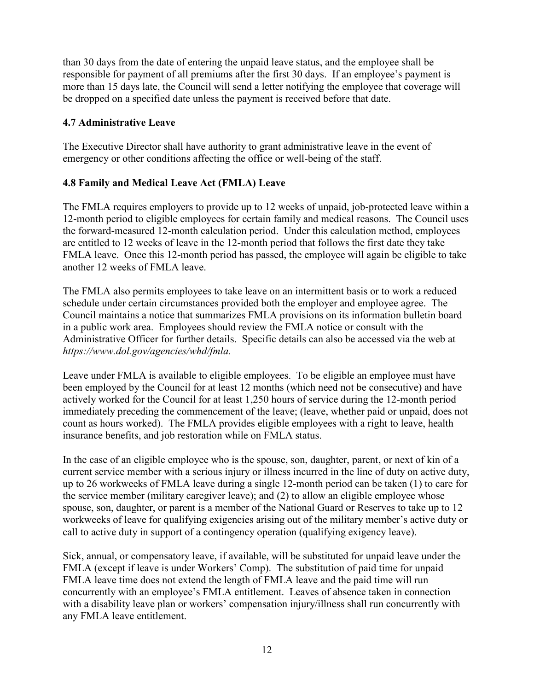than 30 days from the date of entering the unpaid leave status, and the employee shall be responsible for payment of all premiums after the first 30 days. If an employee's payment is more than 15 days late, the Council will send a letter notifying the employee that coverage will be dropped on a specified date unless the payment is received before that date.

## <span id="page-15-0"></span>**4.7 Administrative Leave**

The Executive Director shall have authority to grant administrative leave in the event of emergency or other conditions affecting the office or well-being of the staff.

## <span id="page-15-1"></span>**4.8 Family and Medical Leave Act (FMLA) Leave**

The FMLA requires employers to provide up to 12 weeks of unpaid, job-protected leave within a 12-month period to eligible employees for certain family and medical reasons. The Council uses the forward-measured 12-month calculation period. Under this calculation method, employees are entitled to 12 weeks of leave in the 12-month period that follows the first date they take FMLA leave. Once this 12-month period has passed, the employee will again be eligible to take another 12 weeks of FMLA leave.

The FMLA also permits employees to take leave on an intermittent basis or to work a reduced schedule under certain circumstances provided both the employer and employee agree. The Council maintains a notice that summarizes FMLA provisions on its information bulletin board in a public work area. Employees should review the FMLA notice or consult with the Administrative Officer for further details. Specific details can also be accessed via the web at *https://www.dol.gov/agencies/whd/fmla.*

Leave under FMLA is available to eligible employees. To be eligible an employee must have been employed by the Council for at least 12 months (which need not be consecutive) and have actively worked for the Council for at least 1,250 hours of service during the 12-month period immediately preceding the commencement of the leave; (leave, whether paid or unpaid, does not count as hours worked). The FMLA provides eligible employees with a right to leave, health insurance benefits, and job restoration while on FMLA status.

In the case of an eligible employee who is the spouse, son, daughter, parent, or next of kin of a current service member with a serious injury or illness incurred in the line of duty on active duty, up to 26 workweeks of FMLA leave during a single 12-month period can be taken (1) to care for the service member (military caregiver leave); and (2) to allow an eligible employee whose spouse, son, daughter, or parent is a member of the National Guard or Reserves to take up to 12 workweeks of leave for qualifying exigencies arising out of the military member's active duty or call to active duty in support of a contingency operation (qualifying exigency leave).

Sick, annual, or compensatory leave, if available, will be substituted for unpaid leave under the FMLA (except if leave is under Workers' Comp). The substitution of paid time for unpaid FMLA leave time does not extend the length of FMLA leave and the paid time will run concurrently with an employee's FMLA entitlement. Leaves of absence taken in connection with a disability leave plan or workers' compensation injury/illness shall run concurrently with any FMLA leave entitlement.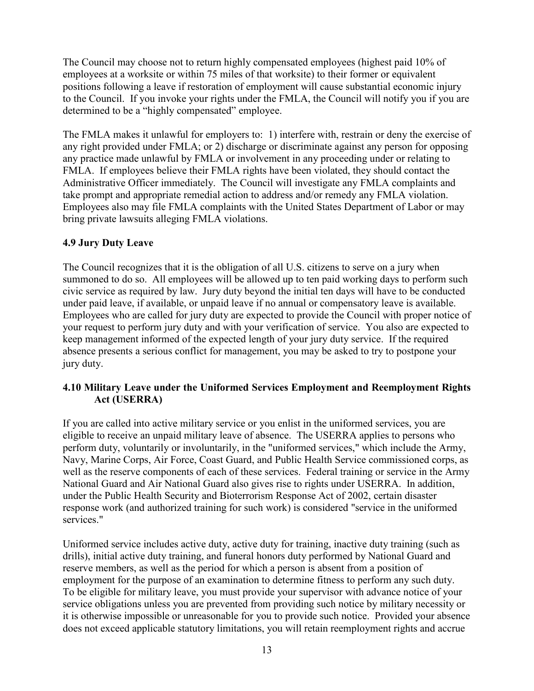The Council may choose not to return highly compensated employees (highest paid 10% of employees at a worksite or within 75 miles of that worksite) to their former or equivalent positions following a leave if restoration of employment will cause substantial economic injury to the Council. If you invoke your rights under the FMLA, the Council will notify you if you are determined to be a "highly compensated" employee.

The FMLA makes it unlawful for employers to: 1) interfere with, restrain or deny the exercise of any right provided under FMLA; or 2) discharge or discriminate against any person for opposing any practice made unlawful by FMLA or involvement in any proceeding under or relating to FMLA. If employees believe their FMLA rights have been violated, they should contact the Administrative Officer immediately. The Council will investigate any FMLA complaints and take prompt and appropriate remedial action to address and/or remedy any FMLA violation. Employees also may file FMLA complaints with the United States Department of Labor or may bring private lawsuits alleging FMLA violations.

## <span id="page-16-0"></span>**4.9 Jury Duty Leave**

The Council recognizes that it is the obligation of all U.S. citizens to serve on a jury when summoned to do so. All employees will be allowed up to ten paid working days to perform such civic service as required by law. Jury duty beyond the initial ten days will have to be conducted under paid leave, if available, or unpaid leave if no annual or compensatory leave is available. Employees who are called for jury duty are expected to provide the Council with proper notice of your request to perform jury duty and with your verification of service. You also are expected to keep management informed of the expected length of your jury duty service. If the required absence presents a serious conflict for management, you may be asked to try to postpone your jury duty.

## <span id="page-16-1"></span>**4.10 Military Leave under the Uniformed Services Employment and Reemployment Rights Act (USERRA)**

If you are called into active military service or you enlist in the uniformed services, you are eligible to receive an unpaid military leave of absence. The USERRA applies to persons who perform duty, voluntarily or involuntarily, in the "uniformed services," which include the Army, Navy, Marine Corps, Air Force, Coast Guard, and Public Health Service commissioned corps, as well as the reserve components of each of these services. Federal training or service in the Army National Guard and Air National Guard also gives rise to rights under USERRA. In addition, under the Public Health Security and Bioterrorism Response Act of 2002, certain disaster response work (and authorized training for such work) is considered "service in the uniformed services."

Uniformed service includes active duty, active duty for training, inactive duty training (such as drills), initial active duty training, and funeral honors duty performed by National Guard and reserve members, as well as the period for which a person is absent from a position of employment for the purpose of an examination to determine fitness to perform any such duty. To be eligible for military leave, you must provide your supervisor with advance notice of your service obligations unless you are prevented from providing such notice by military necessity or it is otherwise impossible or unreasonable for you to provide such notice. Provided your absence does not exceed applicable statutory limitations, you will retain reemployment rights and accrue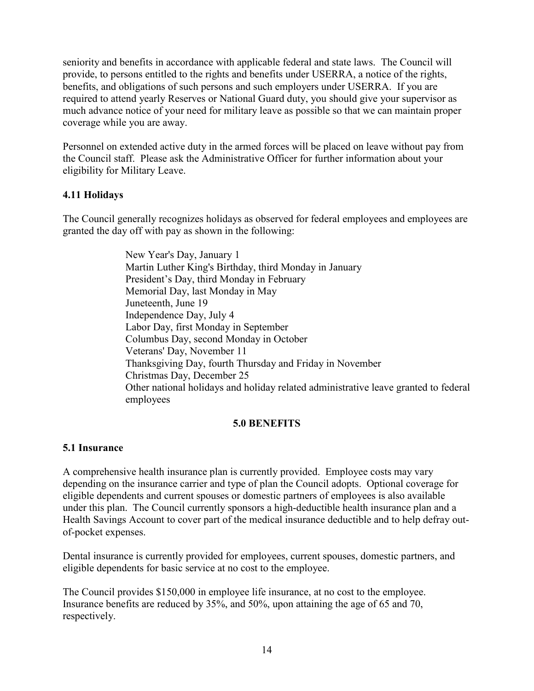seniority and benefits in accordance with applicable federal and state laws. The Council will provide, to persons entitled to the rights and benefits under USERRA, a notice of the rights, benefits, and obligations of such persons and such employers under USERRA. If you are required to attend yearly Reserves or National Guard duty, you should give your supervisor as much advance notice of your need for military leave as possible so that we can maintain proper coverage while you are away.

Personnel on extended active duty in the armed forces will be placed on leave without pay from the Council staff. Please ask the Administrative Officer for further information about your eligibility for Military Leave.

## <span id="page-17-0"></span>**4.11 Holidays**

The Council generally recognizes holidays as observed for federal employees and employees are granted the day off with pay as shown in the following:

> New Year's Day, January 1 Martin Luther King's Birthday, third Monday in January President's Day, third Monday in February Memorial Day, last Monday in May Juneteenth, June 19 Independence Day, July 4 Labor Day, first Monday in September Columbus Day, second Monday in October Veterans' Day, November 11 Thanksgiving Day, fourth Thursday and Friday in November Christmas Day, December 25 Other national holidays and holiday related administrative leave granted to federal employees

#### **5.0 BENEFITS**

## <span id="page-17-2"></span><span id="page-17-1"></span>**5.1 Insurance**

A comprehensive health insurance plan is currently provided. Employee costs may vary depending on the insurance carrier and type of plan the Council adopts. Optional coverage for eligible dependents and current spouses or domestic partners of employees is also available under this plan. The Council currently sponsors a high-deductible health insurance plan and a Health Savings Account to cover part of the medical insurance deductible and to help defray outof-pocket expenses.

Dental insurance is currently provided for employees, current spouses, domestic partners, and eligible dependents for basic service at no cost to the employee.

The Council provides \$150,000 in employee life insurance, at no cost to the employee. Insurance benefits are reduced by 35%, and 50%, upon attaining the age of 65 and 70, respectively.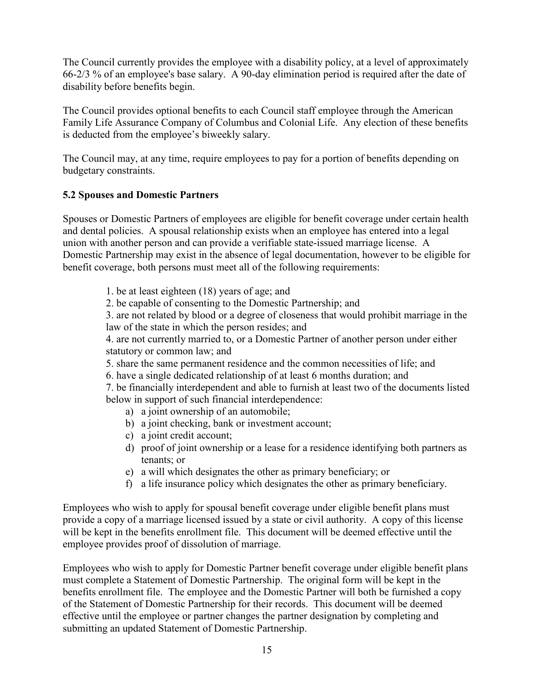The Council currently provides the employee with a disability policy, at a level of approximately 66-2/3 % of an employee's base salary. A 90-day elimination period is required after the date of disability before benefits begin.

The Council provides optional benefits to each Council staff employee through the American Family Life Assurance Company of Columbus and Colonial Life. Any election of these benefits is deducted from the employee's biweekly salary.

The Council may, at any time, require employees to pay for a portion of benefits depending on budgetary constraints.

## <span id="page-18-0"></span>**5.2 Spouses and Domestic Partners**

Spouses or Domestic Partners of employees are eligible for benefit coverage under certain health and dental policies. A spousal relationship exists when an employee has entered into a legal union with another person and can provide a verifiable state-issued marriage license. A Domestic Partnership may exist in the absence of legal documentation, however to be eligible for benefit coverage, both persons must meet all of the following requirements:

- 1. be at least eighteen (18) years of age; and
- 2. be capable of consenting to the Domestic Partnership; and

3. are not related by blood or a degree of closeness that would prohibit marriage in the law of the state in which the person resides; and

4. are not currently married to, or a Domestic Partner of another person under either statutory or common law; and

- 5. share the same permanent residence and the common necessities of life; and
- 6. have a single dedicated relationship of at least 6 months duration; and

7. be financially interdependent and able to furnish at least two of the documents listed below in support of such financial interdependence:

- a) a joint ownership of an automobile;
- b) a joint checking, bank or investment account;
- c) a joint credit account;
- d) proof of joint ownership or a lease for a residence identifying both partners as tenants; or
- e) a will which designates the other as primary beneficiary; or
- f) a life insurance policy which designates the other as primary beneficiary.

Employees who wish to apply for spousal benefit coverage under eligible benefit plans must provide a copy of a marriage licensed issued by a state or civil authority. A copy of this license will be kept in the benefits enrollment file. This document will be deemed effective until the employee provides proof of dissolution of marriage.

Employees who wish to apply for Domestic Partner benefit coverage under eligible benefit plans must complete a Statement of Domestic Partnership. The original form will be kept in the benefits enrollment file. The employee and the Domestic Partner will both be furnished a copy of the Statement of Domestic Partnership for their records. This document will be deemed effective until the employee or partner changes the partner designation by completing and submitting an updated Statement of Domestic Partnership.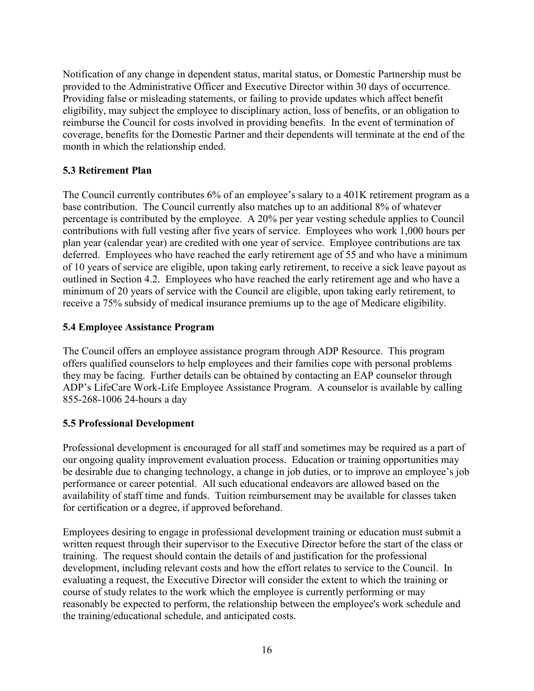Notification of any change in dependent status, marital status, or Domestic Partnership must be provided to the Administrative Officer and Executive Director within 30 days of occurrence. Providing false or misleading statements, or failing to provide updates which affect benefit eligibility, may subject the employee to disciplinary action, loss of benefits, or an obligation to reimburse the Council for costs involved in providing benefits. In the event of termination of coverage, benefits for the Domestic Partner and their dependents will terminate at the end of the month in which the relationship ended.

## <span id="page-19-0"></span>**5.3 Retirement Plan**

The Council currently contributes 6% of an employee's salary to a 401K retirement program as a base contribution. The Council currently also matches up to an additional 8% of whatever percentage is contributed by the employee. A 20% per year vesting schedule applies to Council contributions with full vesting after five years of service. Employees who work 1,000 hours per plan year (calendar year) are credited with one year of service. Employee contributions are tax deferred. Employees who have reached the early retirement age of 55 and who have a minimum of 10 years of service are eligible, upon taking early retirement, to receive a sick leave payout as outlined in Section 4.2. Employees who have reached the early retirement age and who have a minimum of 20 years of service with the Council are eligible, upon taking early retirement, to receive a 75% subsidy of medical insurance premiums up to the age of Medicare eligibility.

## <span id="page-19-1"></span>**5.4 Employee Assistance Program**

The Council offers an employee assistance program through ADP Resource. This program offers qualified counselors to help employees and their families cope with personal problems they may be facing. Further details can be obtained by contacting an EAP counselor through ADP's LifeCare Work-Life Employee Assistance Program. A counselor is available by calling 855-268-1006 24-hours a day

## <span id="page-19-2"></span>**5.5 Professional Development**

Professional development is encouraged for all staff and sometimes may be required as a part of our ongoing quality improvement evaluation process. Education or training opportunities may be desirable due to changing technology, a change in job duties, or to improve an employee's job performance or career potential. All such educational endeavors are allowed based on the availability of staff time and funds. Tuition reimbursement may be available for classes taken for certification or a degree, if approved beforehand.

Employees desiring to engage in professional development training or education must submit a written request through their supervisor to the Executive Director before the start of the class or training. The request should contain the details of and justification for the professional development, including relevant costs and how the effort relates to service to the Council. In evaluating a request, the Executive Director will consider the extent to which the training or course of study relates to the work which the employee is currently performing or may reasonably be expected to perform, the relationship between the employee's work schedule and the training/educational schedule, and anticipated costs.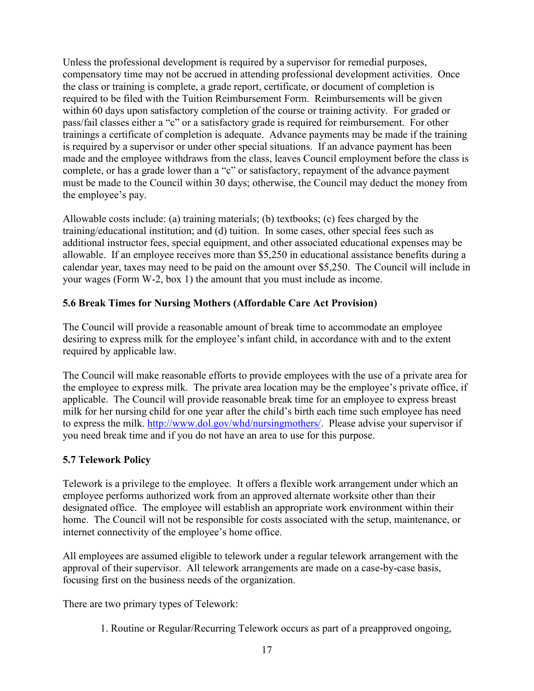Unless the professional development is required by a supervisor for remedial purposes, compensatory time may not be accrued in attending professional development activities. Once the class or training is complete, a grade report, certificate, or document of completion is required to be filed with the Tuition Reimbursement Form. Reimbursements will be given within 60 days upon satisfactory completion of the course or training activity. For graded or pass/fail classes either a "c" or a satisfactory grade is required for reimbursement. For other trainings a certificate of completion is adequate. Advance payments may be made if the training is required by a supervisor or under other special situations. If an advance payment has been made and the employee withdraws from the class, leaves Council employment before the class is complete, or has a grade lower than a "c" or satisfactory, repayment of the advance payment must be made to the Council within 30 days; otherwise, the Council may deduct the money from the employee's pay.

Allowable costs include: (a) training materials; (b) textbooks; (c) fees charged by the training/educational institution; and (d) tuition. In some cases, other special fees such as additional instructor fees, special equipment, and other associated educational expenses may be allowable. If an employee receives more than \$5,250 in educational assistance benefits during a calendar year, taxes may need to be paid on the amount over \$5,250. The Council will include in your wages (Form W-2, box 1) the amount that you must include as income.

## <span id="page-20-0"></span>**5.6 Break Times for Nursing Mothers (Affordable Care Act Provision)**

The Council will provide a reasonable amount of break time to accommodate an employee desiring to express milk for the employee's infant child, in accordance with and to the extent required by applicable law.

The Council will make reasonable efforts to provide employees with the use of a private area for the employee to express milk. The private area location may be the employee's private office, if applicable. The Council will provide reasonable break time for an employee to express breast milk for her nursing child for one year after the child's birth each time such employee has need to express the milk. [http://www.dol.gov/whd/nursingmothers/.](http://www.dol.gov/whd/nursingmothers/) Please advise your supervisor if you need break time and if you do not have an area to use for this purpose.

## <span id="page-20-1"></span>**5.7 Telework Policy**

Telework is a privilege to the employee. It offers a flexible work arrangement under which an employee performs authorized work from an approved alternate worksite other than their designated office. The employee will establish an appropriate work environment within their home. The Council will not be responsible for costs associated with the setup, maintenance, or internet connectivity of the employee's home office.

All employees are assumed eligible to telework under a regular telework arrangement with the approval of their supervisor. All telework arrangements are made on a case-by-case basis, focusing first on the business needs of the organization.

There are two primary types of Telework:

1. Routine or Regular/Recurring Telework occurs as part of a preapproved ongoing,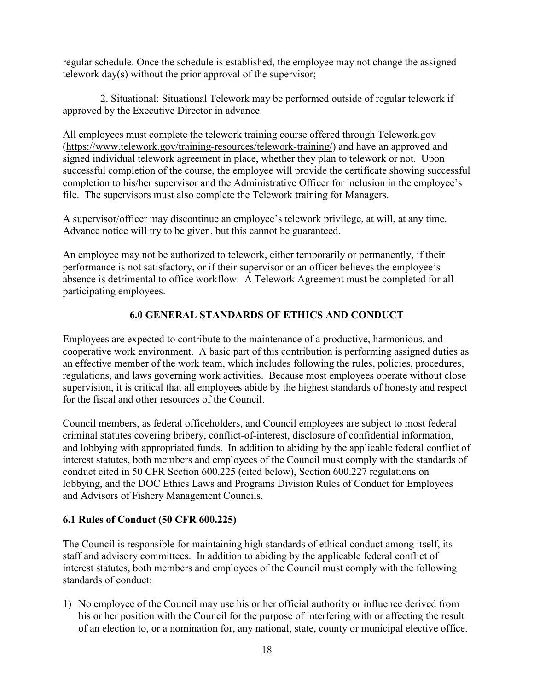regular schedule. Once the schedule is established, the employee may not change the assigned telework day(s) without the prior approval of the supervisor;

2. Situational: Situational Telework may be performed outside of regular telework if approved by the Executive Director in advance.

All employees must complete the telework training course offered through Telework.gov [\(https://www.telework.gov/training-resources/telework-training/\)](https://www.telework.gov/training-resources/telework-training/) and have an approved and signed individual telework agreement in place, whether they plan to telework or not. Upon successful completion of the course, the employee will provide the certificate showing successful completion to his/her supervisor and the Administrative Officer for inclusion in the employee's file. The supervisors must also complete the Telework training for Managers.

A supervisor/officer may discontinue an employee's telework privilege, at will, at any time. Advance notice will try to be given, but this cannot be guaranteed.

An employee may not be authorized to telework, either temporarily or permanently, if their performance is not satisfactory, or if their supervisor or an officer believes the employee's absence is detrimental to office workflow. A Telework Agreement must be completed for all participating employees.

# **6.0 GENERAL STANDARDS OF ETHICS AND CONDUCT**

<span id="page-21-0"></span>Employees are expected to contribute to the maintenance of a productive, harmonious, and cooperative work environment. A basic part of this contribution is performing assigned duties as an effective member of the work team, which includes following the rules, policies, procedures, regulations, and laws governing work activities. Because most employees operate without close supervision, it is critical that all employees abide by the highest standards of honesty and respect for the fiscal and other resources of the Council.

Council members, as federal officeholders, and Council employees are subject to most federal criminal statutes covering bribery, conflict-of-interest, disclosure of confidential information, and lobbying with appropriated funds. In addition to abiding by the applicable federal conflict of interest statutes, both members and employees of the Council must comply with the standards of conduct cited in 50 CFR Section 600.225 (cited below), Section 600.227 regulations on lobbying, and the DOC Ethics Laws and Programs Division Rules of Conduct for Employees and Advisors of Fishery Management Councils.

## <span id="page-21-1"></span>**6.1 Rules of Conduct (50 CFR 600.225)**

The Council is responsible for maintaining high standards of ethical conduct among itself, its staff and advisory committees. In addition to abiding by the applicable federal conflict of interest statutes, both members and employees of the Council must comply with the following standards of conduct:

1) No employee of the Council may use his or her official authority or influence derived from his or her position with the Council for the purpose of interfering with or affecting the result of an election to, or a nomination for, any national, state, county or municipal elective office.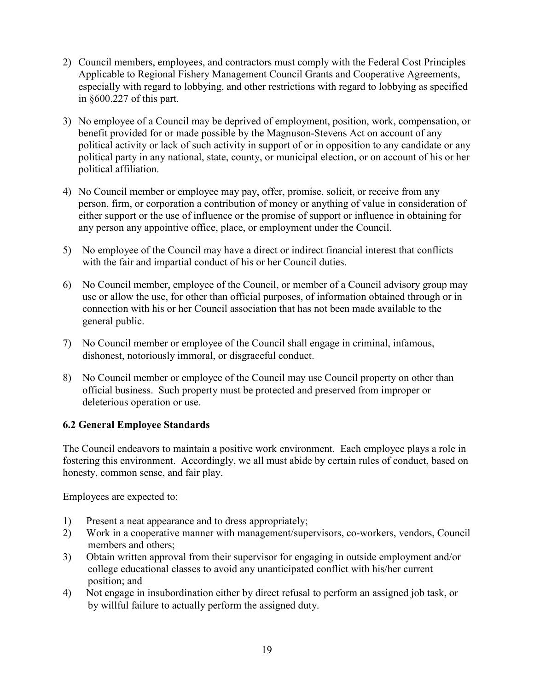- 2) Council members, employees, and contractors must comply with the Federal Cost Principles Applicable to Regional Fishery Management Council Grants and Cooperative Agreements, especially with regard to lobbying, and other restrictions with regard to lobbying as specified in §600.227 of this part.
- 3) No employee of a Council may be deprived of employment, position, work, compensation, or benefit provided for or made possible by the Magnuson-Stevens Act on account of any political activity or lack of such activity in support of or in opposition to any candidate or any political party in any national, state, county, or municipal election, or on account of his or her political affiliation.
- 4) No Council member or employee may pay, offer, promise, solicit, or receive from any person, firm, or corporation a contribution of money or anything of value in consideration of either support or the use of influence or the promise of support or influence in obtaining for any person any appointive office, place, or employment under the Council.
- 5) No employee of the Council may have a direct or indirect financial interest that conflicts with the fair and impartial conduct of his or her Council duties.
- 6) No Council member, employee of the Council, or member of a Council advisory group may use or allow the use, for other than official purposes, of information obtained through or in connection with his or her Council association that has not been made available to the general public.
- 7) No Council member or employee of the Council shall engage in criminal, infamous, dishonest, notoriously immoral, or disgraceful conduct.
- 8) No Council member or employee of the Council may use Council property on other than official business. Such property must be protected and preserved from improper or deleterious operation or use.

# <span id="page-22-0"></span>**6.2 General Employee Standards**

The Council endeavors to maintain a positive work environment. Each employee plays a role in fostering this environment. Accordingly, we all must abide by certain rules of conduct, based on honesty, common sense, and fair play.

Employees are expected to:

- 1) Present a neat appearance and to dress appropriately;
- 2) Work in a cooperative manner with management/supervisors, co-workers, vendors, Council members and others;
- 3) Obtain written approval from their supervisor for engaging in outside employment and/or college educational classes to avoid any unanticipated conflict with his/her current position; and
- 4) Not engage in insubordination either by direct refusal to perform an assigned job task, or by willful failure to actually perform the assigned duty.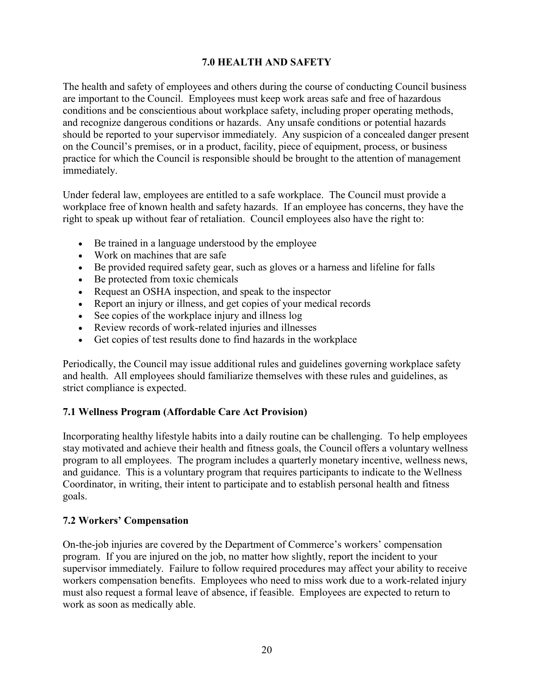## **7.0 HEALTH AND SAFETY**

<span id="page-23-0"></span>The health and safety of employees and others during the course of conducting Council business are important to the Council. Employees must keep work areas safe and free of hazardous conditions and be conscientious about workplace safety, including proper operating methods, and recognize dangerous conditions or hazards. Any unsafe conditions or potential hazards should be reported to your supervisor immediately. Any suspicion of a concealed danger present on the Council's premises, or in a product, facility, piece of equipment, process, or business practice for which the Council is responsible should be brought to the attention of management immediately.

Under federal law, employees are entitled to a safe workplace. The Council must provide a workplace free of known health and safety hazards. If an employee has concerns, they have the right to speak up without fear of retaliation. Council employees also have the right to:

- Be trained in a language understood by the employee
- Work on machines that are safe
- Be provided required safety gear, such as gloves or a harness and lifeline for falls
- Be protected from toxic chemicals
- Request an OSHA inspection, and speak to the inspector
- Report an injury or illness, and get copies of your medical records
- See copies of the workplace injury and illness log
- Review records of work-related injuries and illnesses
- Get copies of test results done to find hazards in the workplace

Periodically, the Council may issue additional rules and guidelines governing workplace safety and health. All employees should familiarize themselves with these rules and guidelines, as strict compliance is expected.

# <span id="page-23-1"></span>**7.1 Wellness Program (Affordable Care Act Provision)**

Incorporating healthy lifestyle habits into a daily routine can be challenging. To help employees stay motivated and achieve their health and fitness goals, the Council offers a voluntary wellness program to all employees. The program includes a quarterly monetary incentive, wellness news, and guidance. This is a voluntary program that requires participants to indicate to the Wellness Coordinator, in writing, their intent to participate and to establish personal health and fitness goals.

## <span id="page-23-2"></span>**7.2 Workers' Compensation**

On-the-job injuries are covered by the Department of Commerce's workers' compensation program. If you are injured on the job, no matter how slightly, report the incident to your supervisor immediately. Failure to follow required procedures may affect your ability to receive workers compensation benefits. Employees who need to miss work due to a work-related injury must also request a formal leave of absence, if feasible. Employees are expected to return to work as soon as medically able.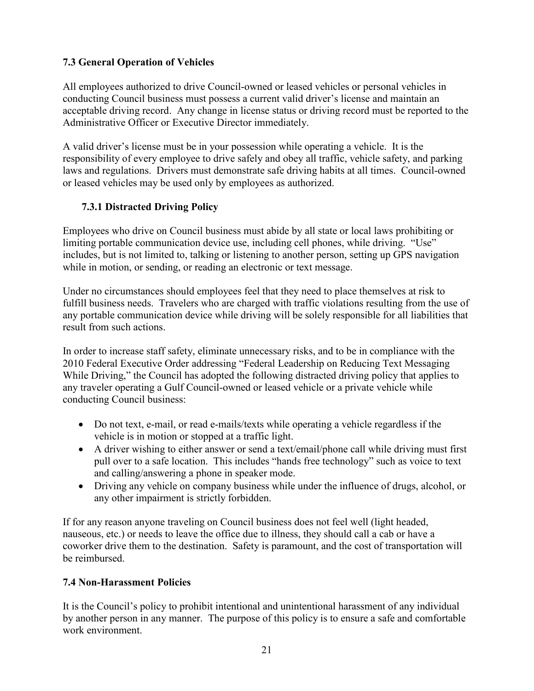# <span id="page-24-0"></span>**7.3 General Operation of Vehicles**

All employees authorized to drive Council-owned or leased vehicles or personal vehicles in conducting Council business must possess a current valid driver's license and maintain an acceptable driving record. Any change in license status or driving record must be reported to the Administrative Officer or Executive Director immediately.

A valid driver's license must be in your possession while operating a vehicle. It is the responsibility of every employee to drive safely and obey all traffic, vehicle safety, and parking laws and regulations. Drivers must demonstrate safe driving habits at all times. Council-owned or leased vehicles may be used only by employees as authorized.

# <span id="page-24-1"></span>**7.3.1 Distracted Driving Policy**

Employees who drive on Council business must abide by all state or local laws prohibiting or limiting portable communication device use, including cell phones, while driving. "Use" includes, but is not limited to, talking or listening to another person, setting up GPS navigation while in motion, or sending, or reading an electronic or text message.

Under no circumstances should employees feel that they need to place themselves at risk to fulfill business needs. Travelers who are charged with traffic violations resulting from the use of any portable communication device while driving will be solely responsible for all liabilities that result from such actions.

In order to increase staff safety, eliminate unnecessary risks, and to be in compliance with the 2010 Federal Executive Order addressing "Federal Leadership on Reducing Text Messaging While Driving," the Council has adopted the following distracted driving policy that applies to any traveler operating a Gulf Council-owned or leased vehicle or a private vehicle while conducting Council business:

- Do not text, e-mail, or read e-mails/texts while operating a vehicle regardless if the vehicle is in motion or stopped at a traffic light.
- A driver wishing to either answer or send a text/email/phone call while driving must first pull over to a safe location. This includes "hands free technology" such as voice to text and calling/answering a phone in speaker mode.
- Driving any vehicle on company business while under the influence of drugs, alcohol, or any other impairment is strictly forbidden.

If for any reason anyone traveling on Council business does not feel well (light headed, nauseous, etc.) or needs to leave the office due to illness, they should call a cab or have a coworker drive them to the destination. Safety is paramount, and the cost of transportation will be reimbursed.

# <span id="page-24-2"></span>**7.4 Non-Harassment Policies**

It is the Council's policy to prohibit intentional and unintentional harassment of any individual by another person in any manner. The purpose of this policy is to ensure a safe and comfortable work environment.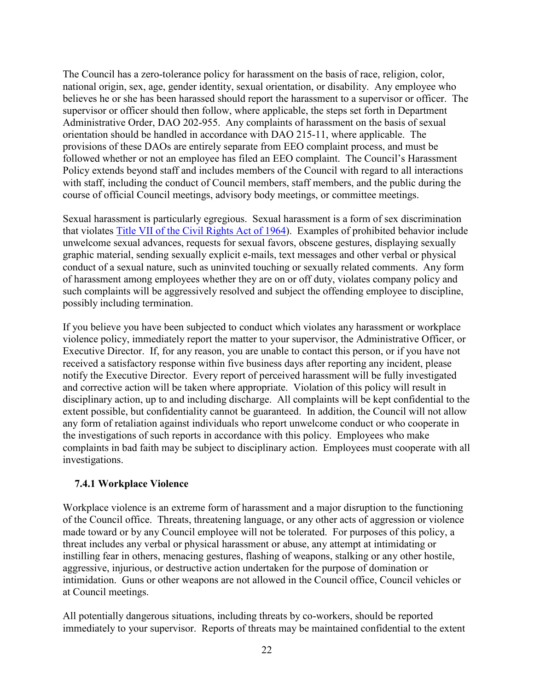The Council has a zero-tolerance policy for harassment on the basis of race, religion, color, national origin, sex, age, gender identity, sexual orientation, or disability. Any employee who believes he or she has been harassed should report the harassment to a supervisor or officer. The supervisor or officer should then follow, where applicable, the steps set forth in Department Administrative Order, DAO 202-955. Any complaints of harassment on the basis of sexual orientation should be handled in accordance with DAO 215-11, where applicable. The provisions of these DAOs are entirely separate from EEO complaint process, and must be followed whether or not an employee has filed an EEO complaint. The Council's Harassment Policy extends beyond staff and includes members of the Council with regard to all interactions with staff, including the conduct of Council members, staff members, and the public during the course of official Council meetings, advisory body meetings, or committee meetings.

Sexual harassment is particularly egregious. Sexual harassment is a form of sex discrimination that violates [Title VII of the Civil Rights Act of 1964\)](https://www.eeoc.gov/laws/statutes/titlevii.cfm). Examples of prohibited behavior include unwelcome sexual advances, requests for sexual favors, obscene gestures, displaying sexually graphic material, sending sexually explicit e-mails, text messages and other verbal or physical conduct of a sexual nature, such as uninvited touching or sexually related comments. Any form of harassment among employees whether they are on or off duty, violates company policy and such complaints will be aggressively resolved and subject the offending employee to discipline, possibly including termination.

If you believe you have been subjected to conduct which violates any harassment or workplace violence policy, immediately report the matter to your supervisor, the Administrative Officer, or Executive Director. If, for any reason, you are unable to contact this person, or if you have not received a satisfactory response within five business days after reporting any incident, please notify the Executive Director. Every report of perceived harassment will be fully investigated and corrective action will be taken where appropriate. Violation of this policy will result in disciplinary action, up to and including discharge. All complaints will be kept confidential to the extent possible, but confidentiality cannot be guaranteed. In addition, the Council will not allow any form of retaliation against individuals who report unwelcome conduct or who cooperate in the investigations of such reports in accordance with this policy. Employees who make complaints in bad faith may be subject to disciplinary action. Employees must cooperate with all investigations.

## <span id="page-25-0"></span>**7.4.1 Workplace Violence**

Workplace violence is an extreme form of harassment and a major disruption to the functioning of the Council office. Threats, threatening language, or any other acts of aggression or violence made toward or by any Council employee will not be tolerated. For purposes of this policy, a threat includes any verbal or physical harassment or abuse, any attempt at intimidating or instilling fear in others, menacing gestures, flashing of weapons, stalking or any other hostile, aggressive, injurious, or destructive action undertaken for the purpose of domination or intimidation. Guns or other weapons are not allowed in the Council office, Council vehicles or at Council meetings.

All potentially dangerous situations, including threats by co-workers, should be reported immediately to your supervisor. Reports of threats may be maintained confidential to the extent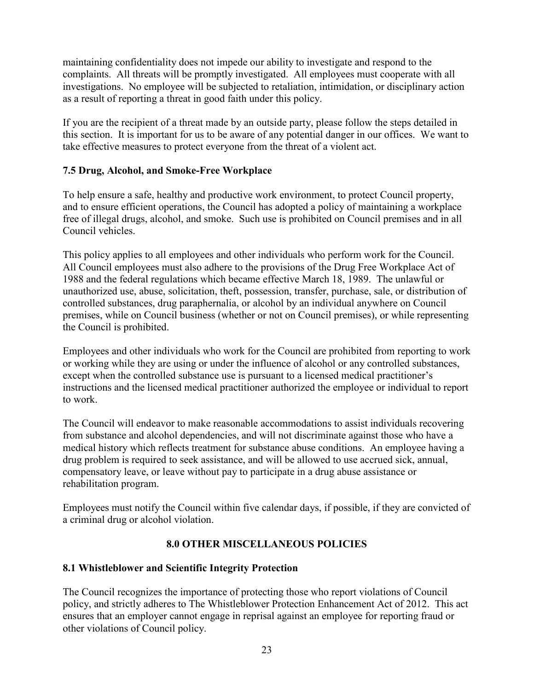maintaining confidentiality does not impede our ability to investigate and respond to the complaints. All threats will be promptly investigated. All employees must cooperate with all investigations. No employee will be subjected to retaliation, intimidation, or disciplinary action as a result of reporting a threat in good faith under this policy.

If you are the recipient of a threat made by an outside party, please follow the steps detailed in this section. It is important for us to be aware of any potential danger in our offices. We want to take effective measures to protect everyone from the threat of a violent act.

## <span id="page-26-0"></span>**7.5 Drug, Alcohol, and Smoke-Free Workplace**

To help ensure a safe, healthy and productive work environment, to protect Council property, and to ensure efficient operations, the Council has adopted a policy of maintaining a workplace free of illegal drugs, alcohol, and smoke. Such use is prohibited on Council premises and in all Council vehicles.

This policy applies to all employees and other individuals who perform work for the Council. All Council employees must also adhere to the provisions of the Drug Free Workplace Act of 1988 and the federal regulations which became effective March 18, 1989. The unlawful or unauthorized use, abuse, solicitation, theft, possession, transfer, purchase, sale, or distribution of controlled substances, drug paraphernalia, or alcohol by an individual anywhere on Council premises, while on Council business (whether or not on Council premises), or while representing the Council is prohibited.

Employees and other individuals who work for the Council are prohibited from reporting to work or working while they are using or under the influence of alcohol or any controlled substances, except when the controlled substance use is pursuant to a licensed medical practitioner's instructions and the licensed medical practitioner authorized the employee or individual to report to work.

The Council will endeavor to make reasonable accommodations to assist individuals recovering from substance and alcohol dependencies, and will not discriminate against those who have a medical history which reflects treatment for substance abuse conditions. An employee having a drug problem is required to seek assistance, and will be allowed to use accrued sick, annual, compensatory leave, or leave without pay to participate in a drug abuse assistance or rehabilitation program.

Employees must notify the Council within five calendar days, if possible, if they are convicted of a criminal drug or alcohol violation.

# **8.0 OTHER MISCELLANEOUS POLICIES**

## <span id="page-26-2"></span><span id="page-26-1"></span>**8.1 Whistleblower and Scientific Integrity Protection**

The Council recognizes the importance of protecting those who report violations of Council policy, and strictly adheres to The Whistleblower Protection Enhancement Act of 2012. This act ensures that an employer cannot engage in reprisal against an employee for reporting fraud or other violations of Council policy.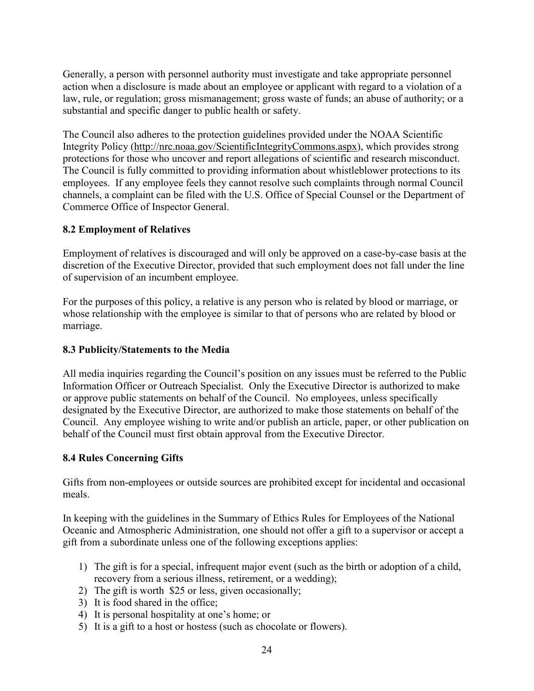Generally, a person with personnel authority must investigate and take appropriate personnel action when a disclosure is made about an employee or applicant with regard to a violation of a law, rule, or regulation; gross mismanagement; gross waste of funds; an abuse of authority; or a substantial and specific danger to public health or safety.

The Council also adheres to the protection guidelines provided under the NOAA Scientific Integrity Policy [\(http://nrc.noaa.gov/ScientificIntegrityCommons.aspx\)](http://nrc.noaa.gov/ScientificIntegrityCommons.aspx), which provides strong protections for those who uncover and report allegations of scientific and research misconduct. The Council is fully committed to providing information about whistleblower protections to its employees. If any employee feels they cannot resolve such complaints through normal Council channels, a complaint can be filed with the U.S. Office of Special Counsel or the Department of Commerce Office of Inspector General.

## <span id="page-27-0"></span>**8.2 Employment of Relatives**

Employment of relatives is discouraged and will only be approved on a case-by-case basis at the discretion of the Executive Director, provided that such employment does not fall under the line of supervision of an incumbent employee.

For the purposes of this policy, a relative is any person who is related by blood or marriage, or whose relationship with the employee is similar to that of persons who are related by blood or marriage.

## <span id="page-27-1"></span>**8.3 Publicity/Statements to the Media**

All media inquiries regarding the Council's position on any issues must be referred to the Public Information Officer or Outreach Specialist. Only the Executive Director is authorized to make or approve public statements on behalf of the Council. No employees, unless specifically designated by the Executive Director, are authorized to make those statements on behalf of the Council. Any employee wishing to write and/or publish an article, paper, or other publication on behalf of the Council must first obtain approval from the Executive Director.

# <span id="page-27-2"></span>**8.4 Rules Concerning Gifts**

Gifts from non-employees or outside sources are prohibited except for incidental and occasional meals.

In keeping with the guidelines in the Summary of Ethics Rules for Employees of the National Oceanic and Atmospheric Administration, one should not offer a gift to a supervisor or accept a gift from a subordinate unless one of the following exceptions applies:

- 1) The gift is for a special, infrequent major event (such as the birth or adoption of a child, recovery from a serious illness, retirement, or a wedding);
- 2) The gift is worth \$25 or less, given occasionally;
- 3) It is food shared in the office;
- 4) It is personal hospitality at one's home; or
- 5) It is a gift to a host or hostess (such as chocolate or flowers).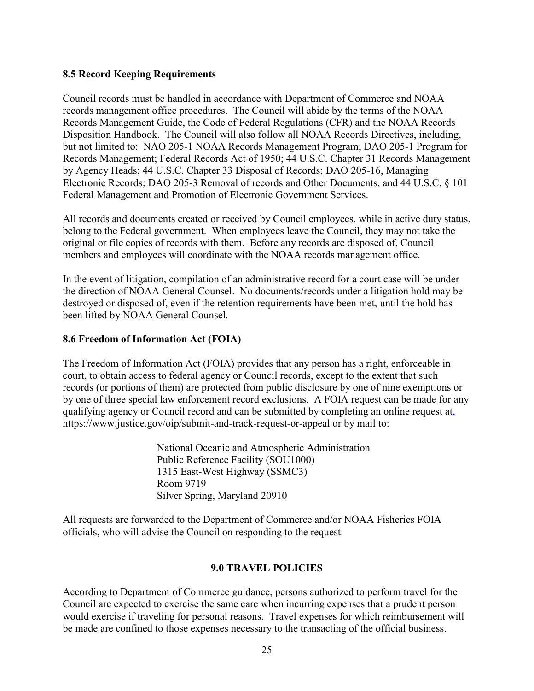#### <span id="page-28-0"></span>**8.5 Record Keeping Requirements**

Council records must be handled in accordance with Department of Commerce and NOAA records management office procedures. The Council will abide by the terms of the NOAA Records Management Guide, the Code of Federal Regulations (CFR) and the NOAA Records Disposition Handbook. The Council will also follow all NOAA Records Directives, including, but not limited to: NAO 205-1 NOAA Records Management Program; DAO 205-1 Program for Records Management; Federal Records Act of 1950; 44 U.S.C. Chapter 31 Records Management by Agency Heads; 44 U.S.C. Chapter 33 Disposal of Records; DAO 205-16, Managing Electronic Records; DAO 205-3 Removal of records and Other Documents, and 44 U.S.C. § 101 Federal Management and Promotion of Electronic Government Services.

All records and documents created or received by Council employees, while in active duty status, belong to the Federal government. When employees leave the Council, they may not take the original or file copies of records with them. Before any records are disposed of, Council members and employees will coordinate with the NOAA records management office.

In the event of litigation, compilation of an administrative record for a court case will be under the direction of NOAA General Counsel. No documents/records under a litigation hold may be destroyed or disposed of, even if the retention requirements have been met, until the hold has been lifted by NOAA General Counsel.

#### <span id="page-28-1"></span>**8.6 Freedom of Information Act (FOIA)**

The Freedom of Information Act (FOIA) provides that any person has a right, enforceable in court, to obtain access to federal agency or Council records, except to the extent that such records (or portions of them) are protected from public disclosure by one of nine exemptions or by one of three special law enforcement record exclusions. A FOIA request can be made for any qualifying agency or Council record and can be submitted by completing an online request at, https://www.justice.gov/oip/submit-and-track-request-or-appeal or by mail to:

> National Oceanic and Atmospheric Administration Public Reference Facility (SOU1000) 1315 East-West Highway (SSMC3) Room 9719 Silver Spring, Maryland 20910

All requests are forwarded to the Department of Commerce and/or NOAA Fisheries FOIA officials, who will advise the Council on responding to the request.

#### **9.0 TRAVEL POLICIES**

<span id="page-28-2"></span>According to Department of Commerce guidance, persons authorized to perform travel for the Council are expected to exercise the same care when incurring expenses that a prudent person would exercise if traveling for personal reasons. Travel expenses for which reimbursement will be made are confined to those expenses necessary to the transacting of the official business.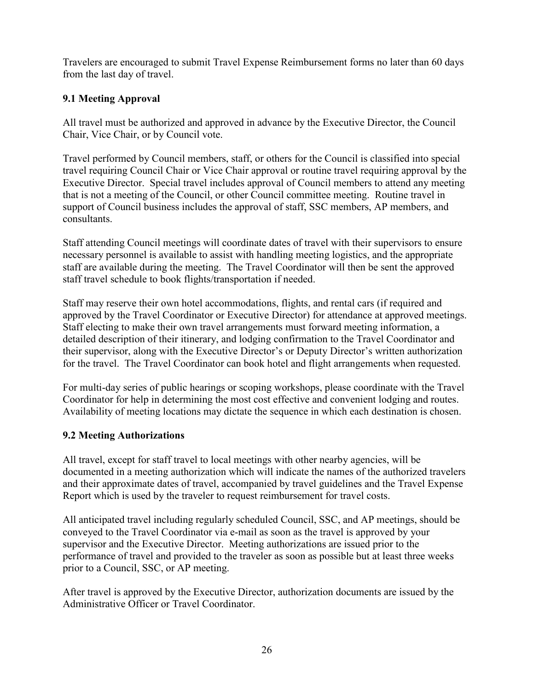Travelers are encouraged to submit Travel Expense Reimbursement forms no later than 60 days from the last day of travel.

# <span id="page-29-0"></span>**9.1 Meeting Approval**

All travel must be authorized and approved in advance by the Executive Director, the Council Chair, Vice Chair, or by Council vote.

Travel performed by Council members, staff, or others for the Council is classified into special travel requiring Council Chair or Vice Chair approval or routine travel requiring approval by the Executive Director. Special travel includes approval of Council members to attend any meeting that is not a meeting of the Council, or other Council committee meeting. Routine travel in support of Council business includes the approval of staff, SSC members, AP members, and consultants.

Staff attending Council meetings will coordinate dates of travel with their supervisors to ensure necessary personnel is available to assist with handling meeting logistics, and the appropriate staff are available during the meeting. The Travel Coordinator will then be sent the approved staff travel schedule to book flights/transportation if needed.

Staff may reserve their own hotel accommodations, flights, and rental cars (if required and approved by the Travel Coordinator or Executive Director) for attendance at approved meetings. Staff electing to make their own travel arrangements must forward meeting information, a detailed description of their itinerary, and lodging confirmation to the Travel Coordinator and their supervisor, along with the Executive Director's or Deputy Director's written authorization for the travel. The Travel Coordinator can book hotel and flight arrangements when requested.

For multi-day series of public hearings or scoping workshops, please coordinate with the Travel Coordinator for help in determining the most cost effective and convenient lodging and routes. Availability of meeting locations may dictate the sequence in which each destination is chosen.

# <span id="page-29-1"></span>**9.2 Meeting Authorizations**

All travel, except for staff travel to local meetings with other nearby agencies, will be documented in a meeting authorization which will indicate the names of the authorized travelers and their approximate dates of travel, accompanied by travel guidelines and the Travel Expense Report which is used by the traveler to request reimbursement for travel costs.

All anticipated travel including regularly scheduled Council, SSC, and AP meetings, should be conveyed to the Travel Coordinator via e-mail as soon as the travel is approved by your supervisor and the Executive Director. Meeting authorizations are issued prior to the performance of travel and provided to the traveler as soon as possible but at least three weeks prior to a Council, SSC, or AP meeting.

After travel is approved by the Executive Director, authorization documents are issued by the Administrative Officer or Travel Coordinator.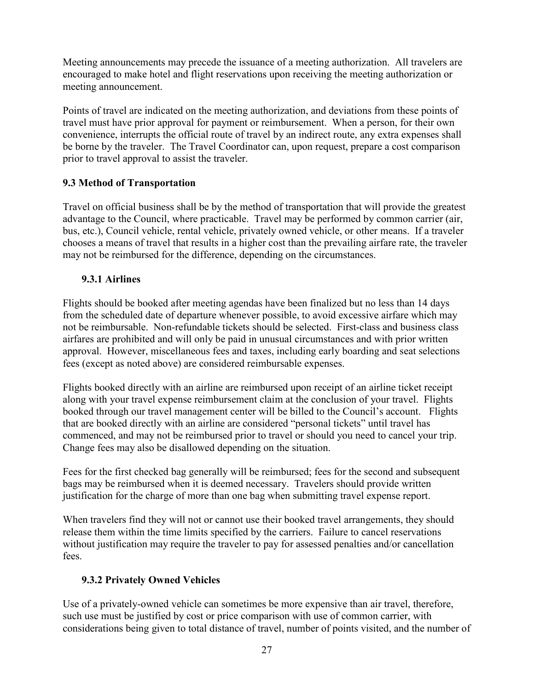Meeting announcements may precede the issuance of a meeting authorization. All travelers are encouraged to make hotel and flight reservations upon receiving the meeting authorization or meeting announcement.

Points of travel are indicated on the meeting authorization, and deviations from these points of travel must have prior approval for payment or reimbursement. When a person, for their own convenience, interrupts the official route of travel by an indirect route, any extra expenses shall be borne by the traveler. The Travel Coordinator can, upon request, prepare a cost comparison prior to travel approval to assist the traveler.

# <span id="page-30-0"></span>**9.3 Method of Transportation**

Travel on official business shall be by the method of transportation that will provide the greatest advantage to the Council, where practicable. Travel may be performed by common carrier (air, bus, etc.), Council vehicle, rental vehicle, privately owned vehicle, or other means. If a traveler chooses a means of travel that results in a higher cost than the prevailing airfare rate, the traveler may not be reimbursed for the difference, depending on the circumstances.

# <span id="page-30-1"></span>**9.3.1 Airlines**

Flights should be booked after meeting agendas have been finalized but no less than 14 days from the scheduled date of departure whenever possible, to avoid excessive airfare which may not be reimbursable. Non-refundable tickets should be selected. First-class and business class airfares are prohibited and will only be paid in unusual circumstances and with prior written approval. However, miscellaneous fees and taxes, including early boarding and seat selections fees (except as noted above) are considered reimbursable expenses.

Flights booked directly with an airline are reimbursed upon receipt of an airline ticket receipt along with your travel expense reimbursement claim at the conclusion of your travel. Flights booked through our travel management center will be billed to the Council's account. Flights that are booked directly with an airline are considered "personal tickets" until travel has commenced, and may not be reimbursed prior to travel or should you need to cancel your trip. Change fees may also be disallowed depending on the situation.

Fees for the first checked bag generally will be reimbursed; fees for the second and subsequent bags may be reimbursed when it is deemed necessary. Travelers should provide written justification for the charge of more than one bag when submitting travel expense report.

When travelers find they will not or cannot use their booked travel arrangements, they should release them within the time limits specified by the carriers. Failure to cancel reservations without justification may require the traveler to pay for assessed penalties and/or cancellation fees.

# <span id="page-30-2"></span>**9.3.2 Privately Owned Vehicles**

Use of a privately-owned vehicle can sometimes be more expensive than air travel, therefore, such use must be justified by cost or price comparison with use of common carrier, with considerations being given to total distance of travel, number of points visited, and the number of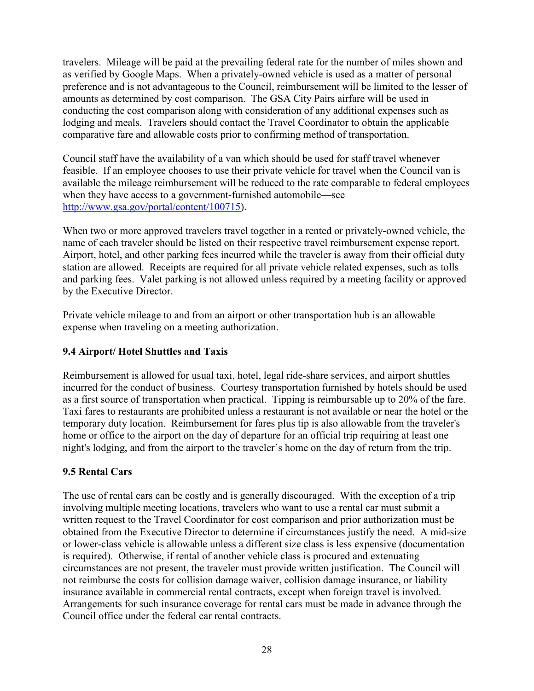travelers. Mileage will be paid at the prevailing federal rate for the number of miles shown and as verified by Google Maps. When a privately-owned vehicle is used as a matter of personal preference and is not advantageous to the Council, reimbursement will be limited to the lesser of amounts as determined by cost comparison. The GSA City Pairs airfare will be used in conducting the cost comparison along with consideration of any additional expenses such as lodging and meals. Travelers should contact the Travel Coordinator to obtain the applicable comparative fare and allowable costs prior to confirming method of transportation.

Council staff have the availability of a van which should be used for staff travel whenever feasible. If an employee chooses to use their private vehicle for travel when the Council van is available the mileage reimbursement will be reduced to the rate comparable to federal employees when they have access to a government-furnished automobile—see [http://www.gsa.gov/portal/content/100715\)](http://www.gsa.gov/portal/content/100715).

When two or more approved travelers travel together in a rented or privately-owned vehicle, the name of each traveler should be listed on their respective travel reimbursement expense report. Airport, hotel, and other parking fees incurred while the traveler is away from their official duty station are allowed. Receipts are required for all private vehicle related expenses, such as tolls and parking fees. Valet parking is not allowed unless required by a meeting facility or approved by the Executive Director.

Private vehicle mileage to and from an airport or other transportation hub is an allowable expense when traveling on a meeting authorization.

## <span id="page-31-0"></span>**9.4 Airport/ Hotel Shuttles and Taxis**

Reimbursement is allowed for usual taxi, hotel, legal ride-share services, and airport shuttles incurred for the conduct of business. Courtesy transportation furnished by hotels should be used as a first source of transportation when practical. Tipping is reimbursable up to 20% of the fare. Taxi fares to restaurants are prohibited unless a restaurant is not available or near the hotel or the temporary duty location. Reimbursement for fares plus tip is also allowable from the traveler's home or office to the airport on the day of departure for an official trip requiring at least one night's lodging, and from the airport to the traveler's home on the day of return from the trip.

# <span id="page-31-1"></span>**9.5 Rental Cars**

The use of rental cars can be costly and is generally discouraged. With the exception of a trip involving multiple meeting locations, travelers who want to use a rental car must submit a written request to the Travel Coordinator for cost comparison and prior authorization must be obtained from the Executive Director to determine if circumstances justify the need. A mid-size or lower-class vehicle is allowable unless a different size class is less expensive (documentation is required). Otherwise, if rental of another vehicle class is procured and extenuating circumstances are not present, the traveler must provide written justification. The Council will not reimburse the costs for collision damage waiver, collision damage insurance, or liability insurance available in commercial rental contracts, except when foreign travel is involved. Arrangements for such insurance coverage for rental cars must be made in advance through the Council office under the federal car rental contracts.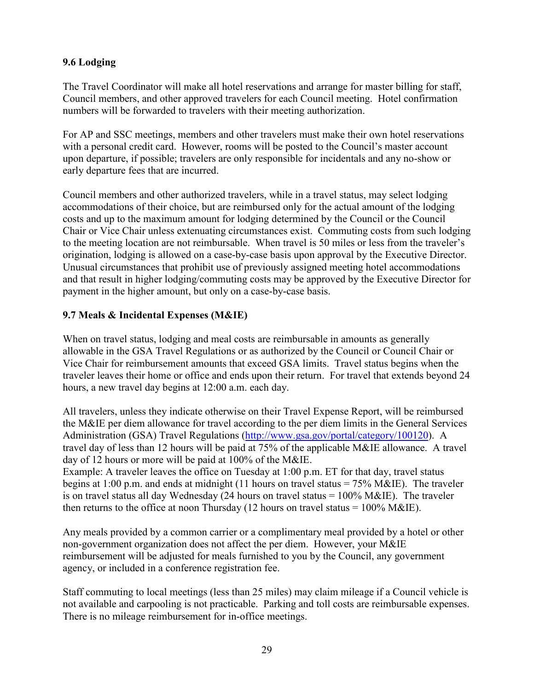## <span id="page-32-0"></span>**9.6 Lodging**

The Travel Coordinator will make all hotel reservations and arrange for master billing for staff, Council members, and other approved travelers for each Council meeting. Hotel confirmation numbers will be forwarded to travelers with their meeting authorization.

For AP and SSC meetings, members and other travelers must make their own hotel reservations with a personal credit card. However, rooms will be posted to the Council's master account upon departure, if possible; travelers are only responsible for incidentals and any no-show or early departure fees that are incurred.

Council members and other authorized travelers, while in a travel status, may select lodging accommodations of their choice, but are reimbursed only for the actual amount of the lodging costs and up to the maximum amount for lodging determined by the Council or the Council Chair or Vice Chair unless extenuating circumstances exist. Commuting costs from such lodging to the meeting location are not reimbursable. When travel is 50 miles or less from the traveler's origination, lodging is allowed on a case-by-case basis upon approval by the Executive Director. Unusual circumstances that prohibit use of previously assigned meeting hotel accommodations and that result in higher lodging/commuting costs may be approved by the Executive Director for payment in the higher amount, but only on a case-by-case basis.

## <span id="page-32-1"></span>**9.7 Meals & Incidental Expenses (M&IE)**

When on travel status, lodging and meal costs are reimbursable in amounts as generally allowable in the GSA Travel Regulations or as authorized by the Council or Council Chair or Vice Chair for reimbursement amounts that exceed GSA limits. Travel status begins when the traveler leaves their home or office and ends upon their return. For travel that extends beyond 24 hours, a new travel day begins at 12:00 a.m. each day.

All travelers, unless they indicate otherwise on their Travel Expense Report, will be reimbursed the M&IE per diem allowance for travel according to the per diem limits in the General Services Administration (GSA) Travel Regulations [\(http://www.gsa.gov/portal/category/100120\)](http://www.gsa.gov/portal/category/100120). A travel day of less than 12 hours will be paid at 75% of the applicable M&IE allowance. A travel day of 12 hours or more will be paid at 100% of the M&IE. Example: A traveler leaves the office on Tuesday at 1:00 p.m. ET for that day, travel status begins at 1:00 p.m. and ends at midnight (11 hours on travel status =  $75\%$  M&IE). The traveler is on travel status all day Wednesday (24 hours on travel status  $= 100\%$  M&IE). The traveler then returns to the office at noon Thursday (12 hours on travel status =  $100\%$  M&IE).

Any meals provided by a common carrier or a complimentary meal provided by a hotel or other non-government organization does not affect the per diem. However, your M&IE reimbursement will be adjusted for meals furnished to you by the Council, any government agency, or included in a conference registration fee.

Staff commuting to local meetings (less than 25 miles) may claim mileage if a Council vehicle is not available and carpooling is not practicable. Parking and toll costs are reimbursable expenses. There is no mileage reimbursement for in-office meetings.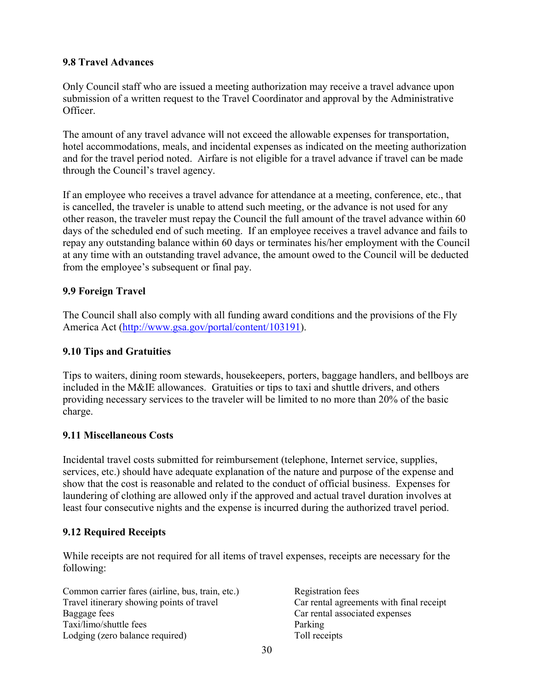#### <span id="page-33-0"></span>**9.8 Travel Advances**

Only Council staff who are issued a meeting authorization may receive a travel advance upon submission of a written request to the Travel Coordinator and approval by the Administrative Officer.

The amount of any travel advance will not exceed the allowable expenses for transportation, hotel accommodations, meals, and incidental expenses as indicated on the meeting authorization and for the travel period noted. Airfare is not eligible for a travel advance if travel can be made through the Council's travel agency.

If an employee who receives a travel advance for attendance at a meeting, conference, etc., that is cancelled, the traveler is unable to attend such meeting, or the advance is not used for any other reason, the traveler must repay the Council the full amount of the travel advance within 60 days of the scheduled end of such meeting. If an employee receives a travel advance and fails to repay any outstanding balance within 60 days or terminates his/her employment with the Council at any time with an outstanding travel advance, the amount owed to the Council will be deducted from the employee's subsequent or final pay.

## <span id="page-33-1"></span>**9.9 Foreign Travel**

The Council shall also comply with all funding award conditions and the provisions of the Fly America Act [\(http://www.gsa.gov/portal/content/103191\)](http://www.gsa.gov/portal/content/103191).

## <span id="page-33-2"></span>**9.10 Tips and Gratuities**

Tips to waiters, dining room stewards, housekeepers, porters, baggage handlers, and bellboys are included in the M&IE allowances. Gratuities or tips to taxi and shuttle drivers, and others providing necessary services to the traveler will be limited to no more than 20% of the basic charge.

## <span id="page-33-3"></span>**9.11 Miscellaneous Costs**

Incidental travel costs submitted for reimbursement (telephone, Internet service, supplies, services, etc.) should have adequate explanation of the nature and purpose of the expense and show that the cost is reasonable and related to the conduct of official business. Expenses for laundering of clothing are allowed only if the approved and actual travel duration involves at least four consecutive nights and the expense is incurred during the authorized travel period.

## <span id="page-33-4"></span>**9.12 Required Receipts**

While receipts are not required for all items of travel expenses, receipts are necessary for the following:

| Common carrier fares (airline, bus, train, etc.) |
|--------------------------------------------------|
| Travel itinerary showing points of travel        |
| Baggage fees                                     |
| Taxi/limo/shuttle fees                           |
| Lodging (zero balance required)                  |

Registration fees Car rental agreements with final receipt Car rental associated expenses Parking Toll receipts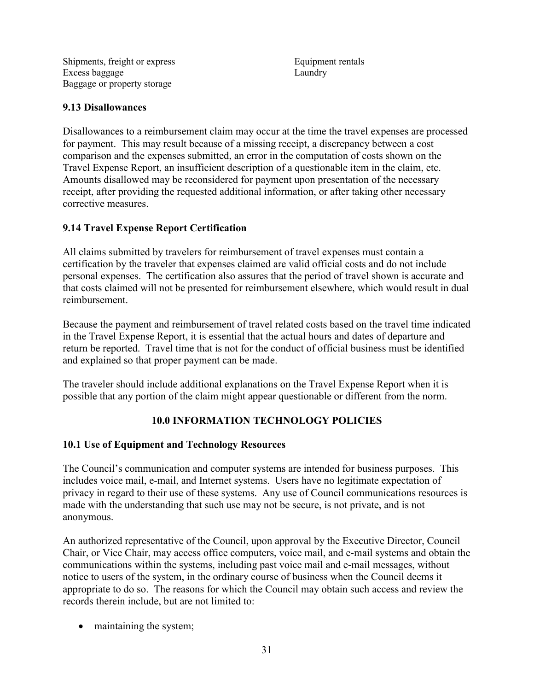Shipments, freight or express Excess baggage Baggage or property storage

Equipment rentals Laundry

#### <span id="page-34-0"></span>**9.13 Disallowances**

Disallowances to a reimbursement claim may occur at the time the travel expenses are processed for payment. This may result because of a missing receipt, a discrepancy between a cost comparison and the expenses submitted, an error in the computation of costs shown on the Travel Expense Report, an insufficient description of a questionable item in the claim, etc. Amounts disallowed may be reconsidered for payment upon presentation of the necessary receipt, after providing the requested additional information, or after taking other necessary corrective measures.

#### <span id="page-34-1"></span>**9.14 Travel Expense Report Certification**

All claims submitted by travelers for reimbursement of travel expenses must contain a certification by the traveler that expenses claimed are valid official costs and do not include personal expenses. The certification also assures that the period of travel shown is accurate and that costs claimed will not be presented for reimbursement elsewhere, which would result in dual reimbursement.

Because the payment and reimbursement of travel related costs based on the travel time indicated in the Travel Expense Report, it is essential that the actual hours and dates of departure and return be reported. Travel time that is not for the conduct of official business must be identified and explained so that proper payment can be made.

The traveler should include additional explanations on the Travel Expense Report when it is possible that any portion of the claim might appear questionable or different from the norm.

## **10.0 INFORMATION TECHNOLOGY POLICIES**

## <span id="page-34-3"></span><span id="page-34-2"></span>**10.1 Use of Equipment and Technology Resources**

The Council's communication and computer systems are intended for business purposes. This includes voice mail, e-mail, and Internet systems. Users have no legitimate expectation of privacy in regard to their use of these systems. Any use of Council communications resources is made with the understanding that such use may not be secure, is not private, and is not anonymous.

An authorized representative of the Council, upon approval by the Executive Director, Council Chair, or Vice Chair, may access office computers, voice mail, and e-mail systems and obtain the communications within the systems, including past voice mail and e-mail messages, without notice to users of the system, in the ordinary course of business when the Council deems it appropriate to do so. The reasons for which the Council may obtain such access and review the records therein include, but are not limited to:

• maintaining the system;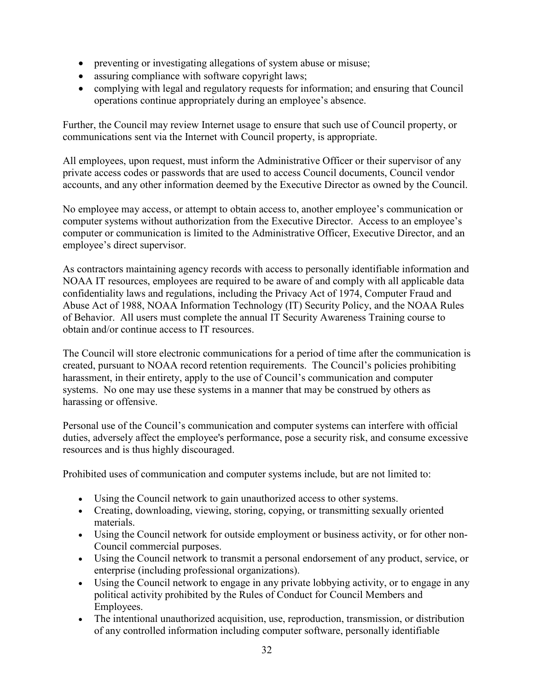- preventing or investigating allegations of system abuse or misuse;
- assuring compliance with software copyright laws;
- complying with legal and regulatory requests for information; and ensuring that Council operations continue appropriately during an employee's absence.

Further, the Council may review Internet usage to ensure that such use of Council property, or communications sent via the Internet with Council property, is appropriate.

All employees, upon request, must inform the Administrative Officer or their supervisor of any private access codes or passwords that are used to access Council documents, Council vendor accounts, and any other information deemed by the Executive Director as owned by the Council.

No employee may access, or attempt to obtain access to, another employee's communication or computer systems without authorization from the Executive Director. Access to an employee's computer or communication is limited to the Administrative Officer, Executive Director, and an employee's direct supervisor.

As contractors maintaining agency records with access to personally identifiable information and NOAA IT resources, employees are required to be aware of and comply with all applicable data confidentiality laws and regulations, including the Privacy Act of 1974, Computer Fraud and Abuse Act of 1988, NOAA Information Technology (IT) Security Policy, and the NOAA Rules of Behavior. All users must complete the annual IT Security Awareness Training course to obtain and/or continue access to IT resources.

The Council will store electronic communications for a period of time after the communication is created, pursuant to NOAA record retention requirements. The Council's policies prohibiting harassment, in their entirety, apply to the use of Council's communication and computer systems. No one may use these systems in a manner that may be construed by others as harassing or offensive.

Personal use of the Council's communication and computer systems can interfere with official duties, adversely affect the employee's performance, pose a security risk, and consume excessive resources and is thus highly discouraged.

Prohibited uses of communication and computer systems include, but are not limited to:

- Using the Council network to gain unauthorized access to other systems.
- Creating, downloading, viewing, storing, copying, or transmitting sexually oriented materials.
- Using the Council network for outside employment or business activity, or for other non-Council commercial purposes.
- Using the Council network to transmit a personal endorsement of any product, service, or enterprise (including professional organizations).
- Using the Council network to engage in any private lobbying activity, or to engage in any political activity prohibited by the Rules of Conduct for Council Members and Employees.
- The intentional unauthorized acquisition, use, reproduction, transmission, or distribution of any controlled information including computer software, personally identifiable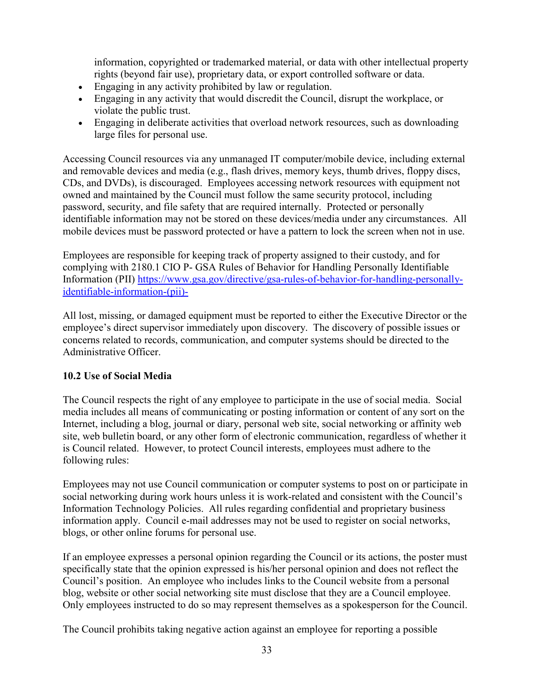information, copyrighted or trademarked material, or data with other intellectual property rights (beyond fair use), proprietary data, or export controlled software or data.

- Engaging in any activity prohibited by law or regulation.
- Engaging in any activity that would discredit the Council, disrupt the workplace, or violate the public trust.
- Engaging in deliberate activities that overload network resources, such as downloading large files for personal use.

Accessing Council resources via any unmanaged IT computer/mobile device, including external and removable devices and media (e.g., flash drives, memory keys, thumb drives, floppy discs, CDs, and DVDs), is discouraged. Employees accessing network resources with equipment not owned and maintained by the Council must follow the same security protocol, including password, security, and file safety that are required internally. Protected or personally identifiable information may not be stored on these devices/media under any circumstances. All mobile devices must be password protected or have a pattern to lock the screen when not in use.

Employees are responsible for keeping track of property assigned to their custody, and for complying with 2180.1 CIO P- GSA Rules of Behavior for Handling Personally Identifiable Information (PII) [https://www.gsa.gov/directive/gsa-rules-of-behavior-for-handling-personally](https://www.gsa.gov/directive/gsa-rules-of-behavior-for-handling-personally-identifiable-information-(pii)-)[identifiable-information-\(pii\)-](https://www.gsa.gov/directive/gsa-rules-of-behavior-for-handling-personally-identifiable-information-(pii)-)

All lost, missing, or damaged equipment must be reported to either the Executive Director or the employee's direct supervisor immediately upon discovery. The discovery of possible issues or concerns related to records, communication, and computer systems should be directed to the Administrative Officer.

# <span id="page-36-0"></span>**10.2 Use of Social Media**

The Council respects the right of any employee to participate in the use of social media. Social media includes all means of communicating or posting information or content of any sort on the Internet, including a blog, journal or diary, personal web site, social networking or affinity web site, web bulletin board, or any other form of electronic communication, regardless of whether it is Council related. However, to protect Council interests, employees must adhere to the following rules:

Employees may not use Council communication or computer systems to post on or participate in social networking during work hours unless it is work-related and consistent with the Council's Information Technology Policies. All rules regarding confidential and proprietary business information apply. Council e-mail addresses may not be used to register on social networks, blogs, or other online forums for personal use.

If an employee expresses a personal opinion regarding the Council or its actions, the poster must specifically state that the opinion expressed is his/her personal opinion and does not reflect the Council's position. An employee who includes links to the Council website from a personal blog, website or other social networking site must disclose that they are a Council employee. Only employees instructed to do so may represent themselves as a spokesperson for the Council.

The Council prohibits taking negative action against an employee for reporting a possible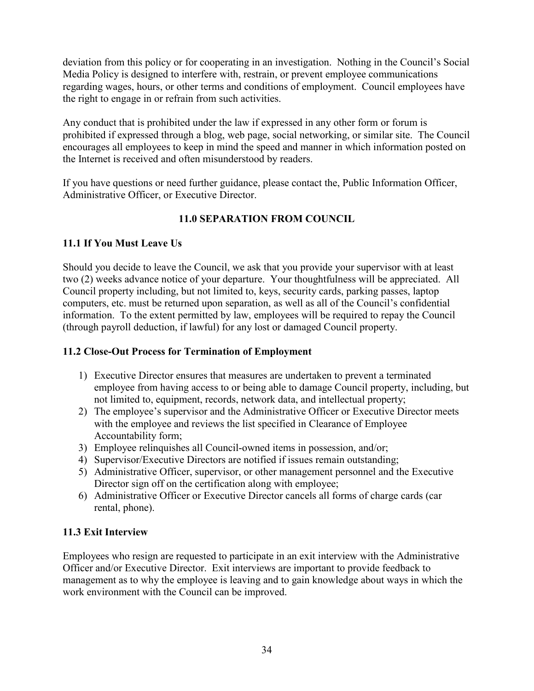deviation from this policy or for cooperating in an investigation. Nothing in the Council's Social Media Policy is designed to interfere with, restrain, or prevent employee communications regarding wages, hours, or other terms and conditions of employment. Council employees have the right to engage in or refrain from such activities.

Any conduct that is prohibited under the law if expressed in any other form or forum is prohibited if expressed through a blog, web page, social networking, or similar site. The Council encourages all employees to keep in mind the speed and manner in which information posted on the Internet is received and often misunderstood by readers.

If you have questions or need further guidance, please contact the, Public Information Officer, Administrative Officer, or Executive Director.

# **11.0 SEPARATION FROM COUNCIL**

## <span id="page-37-1"></span><span id="page-37-0"></span>**11.1 If You Must Leave Us**

Should you decide to leave the Council, we ask that you provide your supervisor with at least two (2) weeks advance notice of your departure. Your thoughtfulness will be appreciated. All Council property including, but not limited to, keys, security cards, parking passes, laptop computers, etc. must be returned upon separation, as well as all of the Council's confidential information. To the extent permitted by law, employees will be required to repay the Council (through payroll deduction, if lawful) for any lost or damaged Council property.

## <span id="page-37-2"></span>**11.2 Close-Out Process for Termination of Employment**

- 1) Executive Director ensures that measures are undertaken to prevent a terminated employee from having access to or being able to damage Council property, including, but not limited to, equipment, records, network data, and intellectual property;
- 2) The employee's supervisor and the Administrative Officer or Executive Director meets with the employee and reviews the list specified in Clearance of Employee Accountability form;
- 3) Employee relinquishes all Council-owned items in possession, and/or;
- 4) Supervisor/Executive Directors are notified if issues remain outstanding;
- 5) Administrative Officer, supervisor, or other management personnel and the Executive Director sign off on the certification along with employee;
- 6) Administrative Officer or Executive Director cancels all forms of charge cards (car rental, phone).

# <span id="page-37-3"></span>**11.3 Exit Interview**

Employees who resign are requested to participate in an exit interview with the Administrative Officer and/or Executive Director. Exit interviews are important to provide feedback to management as to why the employee is leaving and to gain knowledge about ways in which the work environment with the Council can be improved.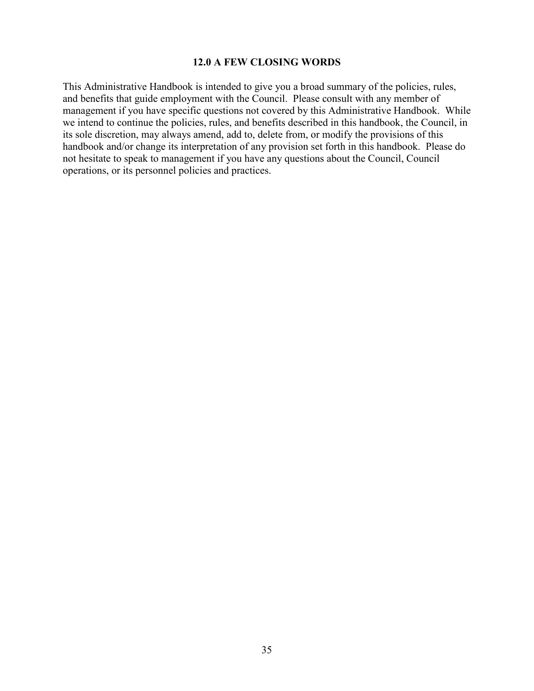#### **12.0 A FEW CLOSING WORDS**

<span id="page-38-0"></span>This Administrative Handbook is intended to give you a broad summary of the policies, rules, and benefits that guide employment with the Council. Please consult with any member of management if you have specific questions not covered by this Administrative Handbook. While we intend to continue the policies, rules, and benefits described in this handbook, the Council, in its sole discretion, may always amend, add to, delete from, or modify the provisions of this handbook and/or change its interpretation of any provision set forth in this handbook. Please do not hesitate to speak to management if you have any questions about the Council, Council operations, or its personnel policies and practices.